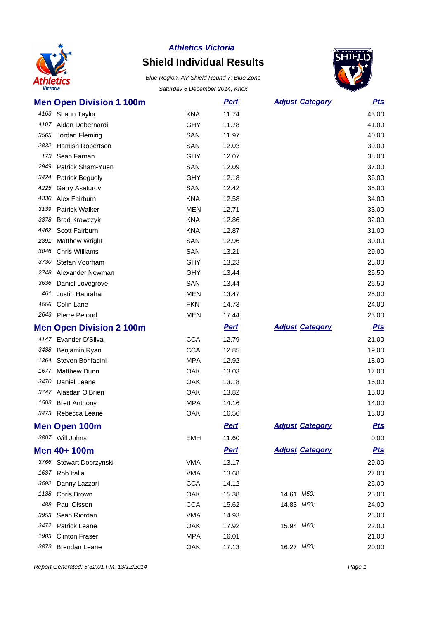

# **Shield Individual Results**



|      | <b>Men Open Division 1 100m</b> |            | <b>Pert</b> | <b>Adjust Category</b> | <u>Pts</u> |
|------|---------------------------------|------------|-------------|------------------------|------------|
|      | 4163 Shaun Taylor               | <b>KNA</b> | 11.74       |                        | 43.00      |
|      | 4107 Aidan Debernardi           | <b>GHY</b> | 11.78       |                        | 41.00      |
| 3565 | Jordan Fleming                  | SAN        | 11.97       |                        | 40.00      |
|      | 2832 Hamish Robertson           | SAN        | 12.03       |                        | 39.00      |
| 173  | Sean Farnan                     | <b>GHY</b> | 12.07       |                        | 38.00      |
| 2949 | Patrick Sham-Yuen               | SAN        | 12.09       |                        | 37.00      |
|      | 3424 Patrick Beguely            | <b>GHY</b> | 12.18       |                        | 36.00      |
| 4225 | <b>Garry Asaturov</b>           | SAN        | 12.42       |                        | 35.00      |
| 4330 | Alex Fairburn                   | <b>KNA</b> | 12.58       |                        | 34.00      |
| 3139 | <b>Patrick Walker</b>           | MEN        | 12.71       |                        | 33.00      |
| 3878 | <b>Brad Krawczyk</b>            | <b>KNA</b> | 12.86       |                        | 32.00      |
| 4462 | Scott Fairburn                  | <b>KNA</b> | 12.87       |                        | 31.00      |
| 2891 | <b>Matthew Wright</b>           | SAN        | 12.96       |                        | 30.00      |
| 3046 | <b>Chris Williams</b>           | SAN        | 13.21       |                        | 29.00      |
| 3730 | Stefan Voorham                  | <b>GHY</b> | 13.23       |                        | 28.00      |
| 2748 | Alexander Newman                | <b>GHY</b> | 13.44       |                        | 26.50      |
|      | 3636 Daniel Lovegrove           | SAN        | 13.44       |                        | 26.50      |
| 461  | Justin Hanrahan                 | <b>MEN</b> | 13.47       |                        | 25.00      |
| 4556 | Colin Lane                      | <b>FKN</b> | 14.73       |                        | 24.00      |
|      | 2643 Pierre Petoud              | MEN        | 17.44       |                        | 23.00      |
|      |                                 |            |             |                        |            |
|      | <b>Men Open Division 2 100m</b> |            | <b>Perf</b> | <b>Adjust Category</b> | <u>Pts</u> |
|      | 4147 Evander D'Silva            | <b>CCA</b> | 12.79       |                        | 21.00      |
|      | 3488 Benjamin Ryan              | <b>CCA</b> | 12.85       |                        | 19.00      |
| 1364 | Steven Bonfadini                | <b>MPA</b> | 12.92       |                        | 18.00      |
| 1677 | <b>Matthew Dunn</b>             | <b>OAK</b> | 13.03       |                        | 17.00      |
| 3470 | Daniel Leane                    | <b>OAK</b> | 13.18       |                        | 16.00      |
|      | 3747 Alasdair O'Brien           | <b>OAK</b> | 13.82       |                        | 15.00      |
|      | 1503 Brett Anthony              | <b>MPA</b> | 14.16       |                        | 14.00      |
|      | 3473 Rebecca Leane              | OAK        | 16.56       |                        | 13.00      |
|      | <b>Men Open 100m</b>            |            | <b>Pert</b> | <b>Adjust Category</b> | <b>Pts</b> |
|      | 3807 Will Johns                 | <b>EMH</b> | 11.60       |                        | 0.00       |
|      | Men 40+ 100m                    |            | <b>Perf</b> | <b>Adjust Category</b> | <b>Pts</b> |
|      | 3766 Stewart Dobrzynski         | <b>VMA</b> | 13.17       |                        | 29.00      |
|      | 1687 Rob Italia                 | <b>VMA</b> | 13.68       |                        | 27.00      |
| 3592 | Danny Lazzari                   | <b>CCA</b> | 14.12       |                        | 26.00      |
| 1188 | Chris Brown                     | OAK        | 15.38       | 14.61 M50;             | 25.00      |
|      | 488 Paul Olsson                 | <b>CCA</b> | 15.62       | 14.83 M50;             | 24.00      |
| 3953 | Sean Riordan                    | <b>VMA</b> | 14.93       |                        | 23.00      |
|      | 3472 Patrick Leane              | OAK        | 17.92       | 15.94 M60;             | 22.00      |
|      | 1903 Clinton Fraser             | <b>MPA</b> | 16.01       |                        | 21.00      |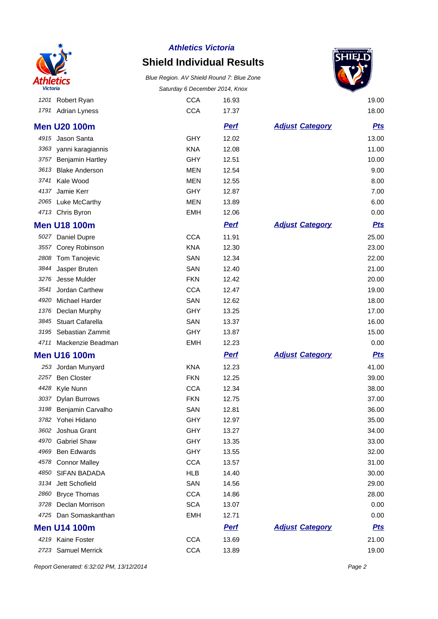

## **Shield Individual Results**

Blue Region. AV Shield Round 7: Blue Zone Saturday 6 December 2014, Knox



|      | 1201 Robert Ryan        | <b>CCA</b> | 16.93       |                        | 19.00      |
|------|-------------------------|------------|-------------|------------------------|------------|
|      | 1791 Adrian Lyness      | <b>CCA</b> | 17.37       |                        | 18.00      |
|      | <b>Men U20 100m</b>     |            | <b>Pert</b> | <b>Adjust Category</b> | <b>Pts</b> |
| 4915 | Jason Santa             | <b>GHY</b> | 12.02       |                        | 13.00      |
| 3363 | yanni karagiannis       | <b>KNA</b> | 12.08       |                        | 11.00      |
| 3757 | <b>Benjamin Hartley</b> | GHY        | 12.51       |                        | 10.00      |
| 3613 | <b>Blake Anderson</b>   | <b>MEN</b> | 12.54       |                        | 9.00       |
| 3741 | Kale Wood               | <b>MEN</b> | 12.55       |                        | 8.00       |
| 4137 | Jamie Kerr              | GHY        | 12.87       |                        | 7.00       |
| 2065 | <b>Luke McCarthy</b>    | <b>MEN</b> | 13.89       |                        | 6.00       |
|      | 4713 Chris Byron        | <b>EMH</b> | 12.06       |                        | 0.00       |
|      | <b>Men U18 100m</b>     |            | <b>Perf</b> | <b>Adjust Category</b> | <b>Pts</b> |
| 5027 | Daniel Dupre            | <b>CCA</b> | 11.91       |                        | 25.00      |
| 3557 | Corey Robinson          | <b>KNA</b> | 12.30       |                        | 23.00      |
| 2808 | Tom Tanojevic           | SAN        | 12.34       |                        | 22.00      |
| 3844 | Jasper Bruten           | SAN        | 12.40       |                        | 21.00      |
| 3276 | Jesse Mulder            | <b>FKN</b> | 12.42       |                        | 20.00      |
| 3541 | Jordan Carthew          | <b>CCA</b> | 12.47       |                        | 19.00      |
| 4920 | Michael Harder          | SAN        | 12.62       |                        | 18.00      |
| 1376 | Declan Murphy           | GHY        | 13.25       |                        | 17.00      |
| 3845 | <b>Stuart Cafarella</b> | SAN        | 13.37       |                        | 16.00      |
| 3195 | Sebastian Zammit        | GHY        | 13.87       |                        | 15.00      |
| 4711 | Mackenzie Beadman       | <b>EMH</b> | 12.23       |                        | 0.00       |
|      | <b>Men U16 100m</b>     |            | <b>Pert</b> | <b>Adjust Category</b> | <u>Pts</u> |
| 253  | Jordan Munyard          | <b>KNA</b> | 12.23       |                        | 41.00      |
| 2257 | <b>Ben Closter</b>      | <b>FKN</b> | 12.25       |                        | 39.00      |
| 4428 | Kyle Nunn               | <b>CCA</b> | 12.34       |                        | 38.00      |
| 3037 | <b>Dylan Burrows</b>    | <b>FKN</b> | 12.75       |                        | 37.00      |
| 3198 | Benjamin Carvalho       | SAN        | 12.81       |                        | 36.00      |
|      | 3782 Yohei Hidano       | <b>GHY</b> | 12.97       |                        | 35.00      |
| 3602 | Joshua Grant            | <b>GHY</b> | 13.27       |                        | 34.00      |
| 4970 | <b>Gabriel Shaw</b>     | <b>GHY</b> | 13.35       |                        | 33.00      |
| 4969 | <b>Ben Edwards</b>      | GHY        | 13.55       |                        | 32.00      |
| 4578 | <b>Connor Malley</b>    | <b>CCA</b> | 13.57       |                        | 31.00      |
| 4850 | SIFAN BADADA            | <b>HLB</b> | 14.40       |                        | 30.00      |
| 3134 | Jett Schofield          | SAN        | 14.56       |                        | 29.00      |
| 2860 | <b>Bryce Thomas</b>     | <b>CCA</b> | 14.86       |                        | 28.00      |
| 3728 | Declan Morrison         | <b>SCA</b> | 13.07       |                        | 0.00       |
| 4725 | Dan Somaskanthan        | <b>EMH</b> | 12.71       |                        | 0.00       |
|      | <b>Men U14 100m</b>     |            | <b>Perf</b> | <b>Adjust Category</b> | <u>Pts</u> |
|      | 4219 Kaine Foster       | <b>CCA</b> | 13.69       |                        | 21.00      |

2723 Samuel Merrick CCA 13.89 19.00

Report Generated: 6:32:02 PM, 13/12/2014 **Page 2**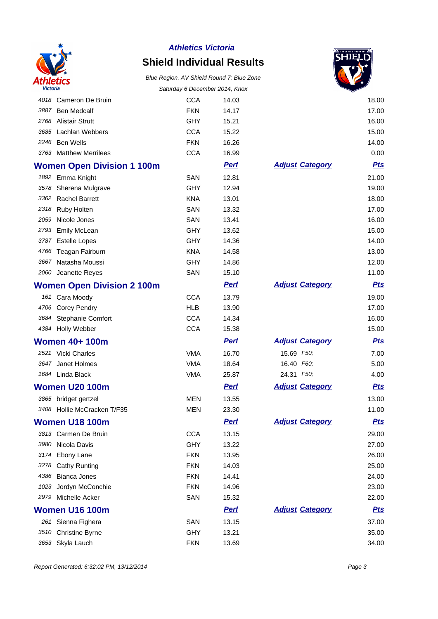

# **Shield Individual Results**



|      |                                   | Saturday 6 December 2014, NTOX |             |                        |            |
|------|-----------------------------------|--------------------------------|-------------|------------------------|------------|
| 4018 | Cameron De Bruin                  | <b>CCA</b>                     | 14.03       |                        | 18.00      |
| 3887 | <b>Ben Medcalf</b>                | <b>FKN</b>                     | 14.17       |                        | 17.00      |
| 2768 | <b>Alistair Strutt</b>            | <b>GHY</b>                     | 15.21       |                        | 16.00      |
| 3685 | Lachlan Webbers                   | <b>CCA</b>                     | 15.22       |                        | 15.00      |
| 2246 | <b>Ben Wells</b>                  | <b>FKN</b>                     | 16.26       |                        | 14.00      |
| 3763 | <b>Matthew Merrilees</b>          | <b>CCA</b>                     | 16.99       |                        | 0.00       |
|      | <b>Women Open Division 1 100m</b> |                                | <b>Perf</b> | <b>Adjust Category</b> | <u>Pts</u> |
|      | 1892 Emma Knight                  | SAN                            | 12.81       |                        | 21.00      |
| 3578 | Sherena Mulgrave                  | <b>GHY</b>                     | 12.94       |                        | 19.00      |
|      | 3362 Rachel Barrett               | <b>KNA</b>                     | 13.01       |                        | 18.00      |
| 2318 | <b>Ruby Holten</b>                | SAN                            | 13.32       |                        | 17.00      |
| 2059 | Nicole Jones                      | SAN                            | 13.41       |                        | 16.00      |
| 2793 | <b>Emily McLean</b>               | <b>GHY</b>                     | 13.62       |                        | 15.00      |
| 3787 | <b>Estelle Lopes</b>              | <b>GHY</b>                     | 14.36       |                        | 14.00      |
| 4766 | Teagan Fairburn                   | <b>KNA</b>                     | 14.58       |                        | 13.00      |
| 3667 | Natasha Moussi                    | <b>GHY</b>                     | 14.86       |                        | 12.00      |
|      | 2060 Jeanette Reyes               | SAN                            | 15.10       |                        | 11.00      |
|      | <b>Women Open Division 2 100m</b> |                                | <b>Pert</b> | <b>Adjust Category</b> | <b>Pts</b> |
|      | 161 Cara Moody                    | <b>CCA</b>                     | 13.79       |                        | 19.00      |
|      | 4706 Corey Pendry                 | <b>HLB</b>                     | 13.90       |                        | 17.00      |
| 3684 | Stephanie Comfort                 | <b>CCA</b>                     | 14.34       |                        | 16.00      |
| 4384 | Holly Webber                      | <b>CCA</b>                     | 15.38       |                        | 15.00      |
|      | <b>Women 40+ 100m</b>             |                                | <b>Pert</b> | <b>Adjust Category</b> | <u>Pts</u> |
|      | 2521 Vicki Charles                | <b>VMA</b>                     | 16.70       | 15.69 F50;             | 7.00       |
| 3647 | Janet Holmes                      | <b>VMA</b>                     | 18.64       | 16.40 F60;             | 5.00       |
|      | 1684 Linda Black                  | <b>VMA</b>                     | 25.87       | 24.31 F50;             | 4.00       |
|      | <b>Women U20 100m</b>             |                                | <u>Perf</u> | <b>Adjust Category</b> | <b>Pts</b> |
|      | 3865 bridget gertzel              | <b>MEN</b>                     | 13.55       |                        | 13.00      |
|      | 3408 Hollie McCracken T/F35       | <b>MEN</b>                     | 23.30       |                        | 11.00      |
|      | <b>Women U18 100m</b>             |                                | <u>Perf</u> | <b>Adjust Category</b> | <u>Pts</u> |
|      | 3813 Carmen De Bruin              | <b>CCA</b>                     | 13.15       |                        | 29.00      |
| 3980 | Nicola Davis                      | GHY                            | 13.22       |                        | 27.00      |
| 3174 | Ebony Lane                        | <b>FKN</b>                     | 13.95       |                        | 26.00      |
| 3278 | <b>Cathy Runting</b>              | <b>FKN</b>                     | 14.03       |                        | 25.00      |
| 4386 | <b>Bianca Jones</b>               | <b>FKN</b>                     | 14.41       |                        | 24.00      |
| 1023 | Jordyn McConchie                  | <b>FKN</b>                     | 14.96       |                        | 23.00      |
| 2979 | Michelle Acker                    | SAN                            | 15.32       |                        | 22.00      |
|      | <b>Women U16 100m</b>             |                                | <b>Perf</b> | <b>Adjust Category</b> | <u>Pts</u> |
|      | 261 Sienna Fighera                | SAN                            | 13.15       |                        | 37.00      |
| 3510 | <b>Christine Byrne</b>            | <b>GHY</b>                     | 13.21       |                        | 35.00      |
| 3653 | Skyla Lauch                       | <b>FKN</b>                     | 13.69       |                        | 34.00      |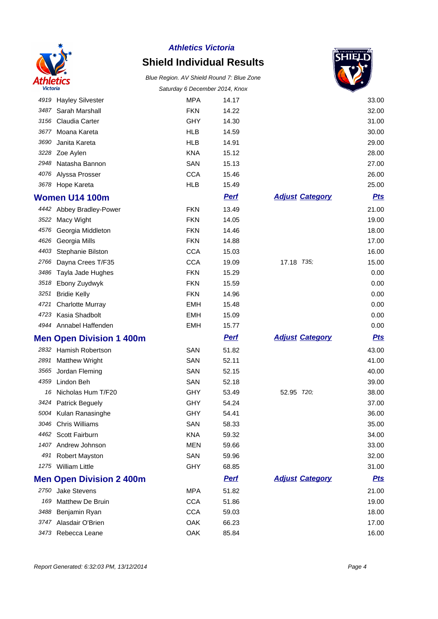

# **Shield Individual Results**



|      |                                 | Saturday o December 2014, Knox |             |                        | ✓          |
|------|---------------------------------|--------------------------------|-------------|------------------------|------------|
| 4919 | <b>Hayley Silvester</b>         | <b>MPA</b>                     | 14.17       |                        | 33.00      |
| 3487 | Sarah Marshall                  | <b>FKN</b>                     | 14.22       |                        | 32.00      |
| 3156 | Claudia Carter                  | GHY                            | 14.30       |                        | 31.00      |
| 3677 | Moana Kareta                    | <b>HLB</b>                     | 14.59       |                        | 30.00      |
| 3690 | Janita Kareta                   | <b>HLB</b>                     | 14.91       |                        | 29.00      |
| 3228 | Zoe Aylen                       | <b>KNA</b>                     | 15.12       |                        | 28.00      |
| 2948 | Natasha Bannon                  | SAN                            | 15.13       |                        | 27.00      |
| 4076 | Alyssa Prosser                  | <b>CCA</b>                     | 15.46       |                        | 26.00      |
|      | 3678 Hope Kareta                | <b>HLB</b>                     | 15.49       |                        | 25.00      |
|      | <b>Women U14 100m</b>           |                                | <b>Pert</b> | <b>Adjust Category</b> | <u>Pts</u> |
|      | 4442 Abbey Bradley-Power        | <b>FKN</b>                     | 13.49       |                        | 21.00      |
|      | 3522 Macy Wight                 | <b>FKN</b>                     | 14.05       |                        | 19.00      |
| 4576 | Georgia Middleton               | <b>FKN</b>                     | 14.46       |                        | 18.00      |
| 4626 | Georgia Mills                   | <b>FKN</b>                     | 14.88       |                        | 17.00      |
| 4403 | Stephanie Bilston               | <b>CCA</b>                     | 15.03       |                        | 16.00      |
| 2766 | Dayna Crees T/F35               | <b>CCA</b>                     | 19.09       | 17.18 T35;             | 15.00      |
| 3486 | Tayla Jade Hughes               | <b>FKN</b>                     | 15.29       |                        | 0.00       |
| 3518 | Ebony Zuydwyk                   | <b>FKN</b>                     | 15.59       |                        | 0.00       |
| 3251 | <b>Bridie Kelly</b>             | <b>FKN</b>                     | 14.96       |                        | 0.00       |
| 4721 | <b>Charlotte Murray</b>         | <b>EMH</b>                     | 15.48       |                        | 0.00       |
| 4723 | Kasia Shadbolt                  | <b>EMH</b>                     | 15.09       |                        | 0.00       |
|      | 4944 Annabel Haffenden          | <b>EMH</b>                     | 15.77       |                        | 0.00       |
|      | <b>Men Open Division 1 400m</b> |                                | <b>Perf</b> | <b>Adjust Category</b> | <b>Pts</b> |
| 2832 | Hamish Robertson                | SAN                            | 51.82       |                        | 43.00      |
| 2891 | <b>Matthew Wright</b>           | SAN                            | 52.11       |                        | 41.00      |
| 3565 | Jordan Fleming                  | SAN                            | 52.15       |                        | 40.00      |
| 4359 | Lindon Beh                      | SAN                            | 52.18       |                        | 39.00      |
| 16   | Nicholas Hum T/F20              | GHY                            | 53.49       | 52.95 T20;             | 38.00      |
| 3424 | <b>Patrick Beguely</b>          | GHY                            | 54.24       |                        | 37.00      |
|      | 5004 Kulan Ranasinghe           | GHY                            | 54.41       |                        | 36.00      |
| 3046 | <b>Chris Williams</b>           | SAN                            | 58.33       |                        | 35.00      |
|      | 4462 Scott Fairburn             | <b>KNA</b>                     | 59.32       |                        | 34.00      |
|      | 1407 Andrew Johnson             | MEN                            | 59.66       |                        | 33.00      |
| 491  | Robert Mayston                  | SAN                            | 59.96       |                        | 32.00      |
|      | 1275 William Little             | <b>GHY</b>                     | 68.85       |                        | 31.00      |
|      | <b>Men Open Division 2 400m</b> |                                | <u>Perf</u> | <b>Adjust Category</b> | <u>Pts</u> |
| 2750 | <b>Jake Stevens</b>             | <b>MPA</b>                     | 51.82       |                        | 21.00      |
| 169  | Matthew De Bruin                | <b>CCA</b>                     | 51.86       |                        | 19.00      |
| 3488 | Benjamin Ryan                   | <b>CCA</b>                     | 59.03       |                        | 18.00      |
| 3747 | Alasdair O'Brien                | OAK                            | 66.23       |                        | 17.00      |
| 3473 | Rebecca Leane                   | OAK                            | 85.84       |                        | 16.00      |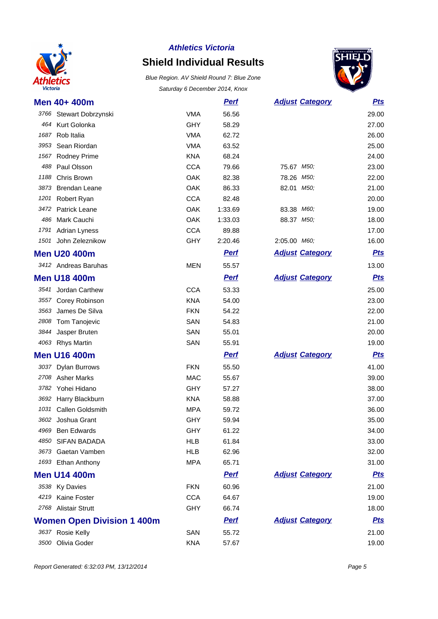

# **Shield Individual Results**



| Men 40+ 400m        |                                   |            | <b>Perf</b> | <b>Adjust Category</b> | <b>Pts</b> |
|---------------------|-----------------------------------|------------|-------------|------------------------|------------|
|                     | 3766 Stewart Dobrzynski           | <b>VMA</b> | 56.56       |                        | 29.00      |
|                     | 464 Kurt Golonka                  | <b>GHY</b> | 58.29       |                        | 27.00      |
| 1687                | Rob Italia                        | <b>VMA</b> | 62.72       |                        | 26.00      |
| 3953                | Sean Riordan                      | <b>VMA</b> | 63.52       |                        | 25.00      |
| 1567                | <b>Rodney Prime</b>               | <b>KNA</b> | 68.24       |                        | 24.00      |
| 488                 | Paul Olsson                       | <b>CCA</b> | 79.66       | 75.67 M50;             | 23.00      |
| 1188                | Chris Brown                       | OAK        | 82.38       | 78.26 M50;             | 22.00      |
| 3873                | <b>Brendan Leane</b>              | OAK        | 86.33       | 82.01 M50;             | 21.00      |
| 1201                | Robert Ryan                       | <b>CCA</b> | 82.48       |                        | 20.00      |
| 3472                | <b>Patrick Leane</b>              | OAK        | 1:33.69     | 83.38 M60;             | 19.00      |
| 486                 | Mark Cauchi                       | OAK        | 1:33.03     | 88.37 M50;             | 18.00      |
| 1791                | <b>Adrian Lyness</b>              | <b>CCA</b> | 89.88       |                        | 17.00      |
| 1501                | John Zeleznikow                   | GHY        | 2:20.46     | 2:05.00 M60;           | 16.00      |
| <b>Men U20 400m</b> |                                   |            | <b>Perf</b> | <b>Adjust Category</b> | <b>Pts</b> |
|                     | 3412 Andreas Baruhas              | <b>MEN</b> | 55.57       |                        | 13.00      |
| <b>Men U18 400m</b> |                                   |            | <b>Pert</b> | <b>Adjust Category</b> | <b>Pts</b> |
| 3541                | Jordan Carthew                    | <b>CCA</b> | 53.33       |                        | 25.00      |
|                     | 3557 Corey Robinson               | <b>KNA</b> | 54.00       |                        | 23.00      |
| 3563                | James De Silva                    | <b>FKN</b> | 54.22       |                        | 22.00      |
| 2808                | Tom Tanojevic                     | SAN        | 54.83       |                        | 21.00      |
| 3844                | Jasper Bruten                     | SAN        | 55.01       |                        | 20.00      |
| 4063 Rhys Martin    |                                   | SAN        | 55.91       |                        | 19.00      |
| <b>Men U16 400m</b> |                                   |            | <b>Pert</b> | <b>Adjust Category</b> | <b>Pts</b> |
|                     | 3037 Dylan Burrows                | <b>FKN</b> | 55.50       |                        | 41.00      |
| 2708                | <b>Asher Marks</b>                | <b>MAC</b> | 55.67       |                        | 39.00      |
|                     | 3782 Yohei Hidano                 | <b>GHY</b> | 57.27       |                        | 38.00      |
| 3692                | Harry Blackburn                   | <b>KNA</b> | 58.88       |                        | 37.00      |
| 1031                | Callen Goldsmith                  | <b>MPA</b> | 59.72       |                        | 36.00      |
|                     | 3602 Joshua Grant                 | <b>GHY</b> | 59.94       |                        | 35.00      |
| 4969                | <b>Ben Edwards</b>                | <b>GHY</b> | 61.22       |                        | 34.00      |
| 4850                | <b>SIFAN BADADA</b>               | <b>HLB</b> | 61.84       |                        | 33.00      |
| 3673                | Gaetan Vamben                     | <b>HLB</b> | 62.96       |                        | 32.00      |
|                     | 1693 Ethan Anthony                | <b>MPA</b> | 65.71       |                        | 31.00      |
| <b>Men U14 400m</b> |                                   |            | <b>Perf</b> | <b>Adjust Category</b> | <u>Pts</u> |
| 3538 Ky Davies      |                                   | <b>FKN</b> | 60.96       |                        | 21.00      |
| 4219                | Kaine Foster                      | <b>CCA</b> | 64.67       |                        | 19.00      |
|                     | 2768 Alistair Strutt              | <b>GHY</b> | 66.74       |                        | 18.00      |
|                     | <b>Women Open Division 1 400m</b> |            | <b>Perf</b> | <b>Adjust Category</b> | <b>Pts</b> |
| 3637 Rosie Kelly    |                                   | SAN        | 55.72       |                        | 21.00      |
| 3500 Olivia Goder   |                                   | <b>KNA</b> | 57.67       |                        | 19.00      |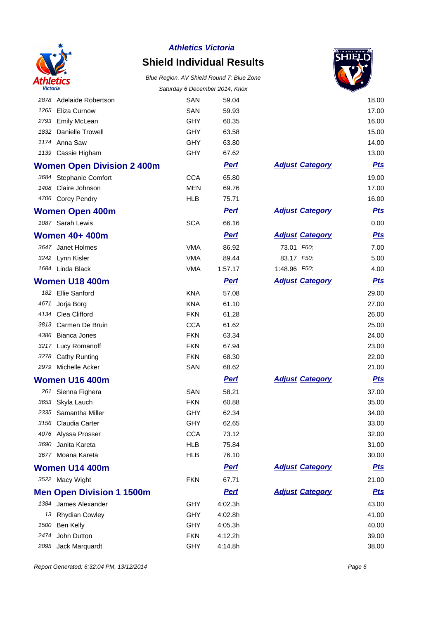

## **Shield Individual Results**



| <i><b>VICTOria</b></i> |                                   | Saturday 6 December 2014, Knox |             |                        |            |
|------------------------|-----------------------------------|--------------------------------|-------------|------------------------|------------|
| 2878                   | Adelaide Robertson                | SAN                            | 59.04       |                        | 18.00      |
| 1265                   | Eliza Curnow                      | <b>SAN</b>                     | 59.93       |                        | 17.00      |
| 2793                   | <b>Emily McLean</b>               | <b>GHY</b>                     | 60.35       |                        | 16.00      |
| 1832                   | Danielle Trowell                  | <b>GHY</b>                     | 63.58       |                        | 15.00      |
|                        | 1174 Anna Saw                     | <b>GHY</b>                     | 63.80       |                        | 14.00      |
|                        | 1139 Cassie Higham                | <b>GHY</b>                     | 67.62       |                        | 13.00      |
|                        | <b>Women Open Division 2 400m</b> |                                | <b>Perf</b> | <b>Adjust Category</b> | <b>Pts</b> |
|                        | 3684 Stephanie Comfort            | <b>CCA</b>                     | 65.80       |                        | 19.00      |
|                        | 1408 Claire Johnson               | <b>MEN</b>                     | 69.76       |                        | 17.00      |
|                        | 4706 Corey Pendry                 | <b>HLB</b>                     | 75.71       |                        | 16.00      |
|                        | <b>Women Open 400m</b>            |                                | <b>Perf</b> | <b>Adjust Category</b> | <b>Pts</b> |
|                        | 1087 Sarah Lewis                  | <b>SCA</b>                     | 66.16       |                        | 0.00       |
|                        | <b>Women 40+ 400m</b>             |                                | <b>Perf</b> | <b>Adjust Category</b> | <b>Pts</b> |
|                        | 3647 Janet Holmes                 | <b>VMA</b>                     | 86.92       | 73.01 F60;             | 7.00       |
|                        | 3242 Lynn Kisler                  | <b>VMA</b>                     | 89.44       | 83.17 F50;             | 5.00       |
|                        | 1684 Linda Black                  | <b>VMA</b>                     | 1:57.17     | 1:48.96 F50;           | 4.00       |
|                        | Women U18 400m                    |                                | <u>Perf</u> | <b>Adjust Category</b> | <u>Pts</u> |
|                        | 182 Ellie Sanford                 | <b>KNA</b>                     | 57.08       |                        | 29.00      |
| 4671                   | Jorja Borg                        | <b>KNA</b>                     | 61.10       |                        | 27.00      |
|                        | 4134 Clea Clifford                | <b>FKN</b>                     | 61.28       |                        | 26.00      |
| 3813                   | Carmen De Bruin                   | <b>CCA</b>                     | 61.62       |                        | 25.00      |
| 4386                   | <b>Bianca Jones</b>               | <b>FKN</b>                     | 63.34       |                        | 24.00      |
| 3217                   | Lucy Romanoff                     | <b>FKN</b>                     | 67.94       |                        | 23.00      |
| 3278                   | <b>Cathy Runting</b>              | <b>FKN</b>                     | 68.30       |                        | 22.00      |
|                        | 2979 Michelle Acker               | SAN                            | 68.62       |                        | 21.00      |
|                        | Women U16 400m                    |                                | <b>Perf</b> | <b>Adjust Category</b> | <u>Pts</u> |
|                        | 261 Sienna Fighera                | SAN                            | 58.21       |                        | 37.00      |
| 3653                   | Skyla Lauch                       | <b>FKN</b>                     | 60.88       |                        | 35.00      |
|                        | 2335 Samantha Miller              | <b>GHY</b>                     | 62.34       |                        | 34.00      |
|                        | 3156 Claudia Carter               | GHY                            | 62.65       |                        | 33.00      |
|                        | 4076 Alyssa Prosser               | <b>CCA</b>                     | 73.12       |                        | 32.00      |
| 3690                   | Janita Kareta                     | <b>HLB</b>                     | 75.84       |                        | 31.00      |
|                        | 3677 Moana Kareta                 | <b>HLB</b>                     | 76.10       |                        | 30.00      |
|                        | Women U14 400m                    |                                | <b>Perf</b> | <b>Adjust Category</b> | <u>Pts</u> |
|                        | 3522 Macy Wight                   | <b>FKN</b>                     | 67.71       |                        | 21.00      |
|                        | <b>Men Open Division 1 1500m</b>  |                                | <b>Perf</b> | <b>Adjust Category</b> | <u>Pts</u> |
|                        | 1384 James Alexander              | <b>GHY</b>                     | 4:02.3h     |                        | 43.00      |
|                        | 13 Rhydian Cowley                 | <b>GHY</b>                     | 4:02.8h     |                        | 41.00      |
| 1500                   | Ben Kelly                         | <b>GHY</b>                     | 4:05.3h     |                        | 40.00      |
| 2474                   | John Dutton                       | <b>FKN</b>                     | 4:12.2h     |                        | 39.00      |
| 2095                   | Jack Marquardt                    | GHY                            | 4:14.8h     |                        | 38.00      |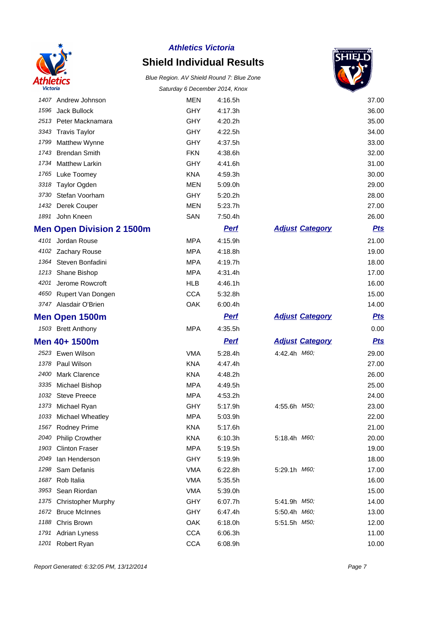

# **Shield Individual Results**



|      |                                  | Salurday o December 2014, Nilox |             |                        | ਵ          |
|------|----------------------------------|---------------------------------|-------------|------------------------|------------|
|      | 1407 Andrew Johnson              | MEN                             | 4:16.5h     |                        | 37.00      |
| 1596 | Jack Bullock                     | <b>GHY</b>                      | 4:17.3h     |                        | 36.00      |
|      | 2513 Peter Macknamara            | <b>GHY</b>                      | 4:20.2h     |                        | 35.00      |
|      | 3343 Travis Taylor               | <b>GHY</b>                      | 4:22.5h     |                        | 34.00      |
| 1799 | Matthew Wynne                    | <b>GHY</b>                      | 4:37.5h     |                        | 33.00      |
|      | 1743 Brendan Smith               | <b>FKN</b>                      | 4:38.6h     |                        | 32.00      |
| 1734 | <b>Matthew Larkin</b>            | <b>GHY</b>                      | 4:41.6h     |                        | 31.00      |
|      | 1765 Luke Toomey                 | <b>KNA</b>                      | 4:59.3h     |                        | 30.00      |
|      | 3318 Taylor Ogden                | <b>MEN</b>                      | 5:09.0h     |                        | 29.00      |
| 3730 | Stefan Voorham                   | <b>GHY</b>                      | 5:20.2h     |                        | 28.00      |
| 1432 | Derek Couper                     | <b>MEN</b>                      | 5:23.7h     |                        | 27.00      |
|      | 1891 John Kneen                  | SAN                             | 7:50.4h     |                        | 26.00      |
|      | <b>Men Open Division 2 1500m</b> |                                 | <b>Pert</b> | <b>Adjust Category</b> | <u>Pts</u> |
|      | 4101 Jordan Rouse                | <b>MPA</b>                      | 4:15.9h     |                        | 21.00      |
|      | 4102 Zachary Rouse               | <b>MPA</b>                      | 4:18.8h     |                        | 19.00      |
|      | 1364 Steven Bonfadini            | <b>MPA</b>                      | 4:19.7h     |                        | 18.00      |
|      | 1213 Shane Bishop                | <b>MPA</b>                      | 4:31.4h     |                        | 17.00      |
| 4201 | Jerome Rowcroft                  | HLB                             | 4:46.1h     |                        | 16.00      |
| 4650 | Rupert Van Dongen                | <b>CCA</b>                      | 5:32.8h     |                        | 15.00      |
|      | 3747 Alasdair O'Brien            | OAK                             | 6:00.4h     |                        | 14.00      |
|      | <b>Men Open 1500m</b>            |                                 | <b>Pert</b> | <b>Adjust Category</b> | <u>Pts</u> |
|      | 1503 Brett Anthony               | <b>MPA</b>                      | 4:35.5h     |                        | 0.00       |
|      | Men 40+ 1500m                    |                                 | <b>Perf</b> | <b>Adjust Category</b> | <b>Pts</b> |
|      | 2523 Ewen Wilson                 | <b>VMA</b>                      | 5:28.4h     | 4:42.4h M60,           | 29.00      |
|      | 1378 Paul Wilson                 | <b>KNA</b>                      | 4:47.4h     |                        | 27.00      |
| 2400 | <b>Mark Clarence</b>             | <b>KNA</b>                      | 4:48.2h     |                        | 26.00      |
| 3335 | Michael Bishop                   | <b>MPA</b>                      | 4:49.5h     |                        | 25.00      |
|      | 1032 Steve Preece                | <b>MPA</b>                      | 4:53.2h     |                        | 24.00      |
| 1373 | Michael Ryan                     | <b>GHY</b>                      | 5:17.9h     | 4:55.6h M50;           | 23.00      |
|      | 1033 Michael Wheatley            | <b>MPA</b>                      | 5:03.9h     |                        | 22.00      |
| 1567 | Rodney Prime                     | <b>KNA</b>                      | 5:17.6h     |                        | 21.00      |
| 2040 | <b>Philip Crowther</b>           | <b>KNA</b>                      | 6:10.3h     | 5:18.4h M60;           | 20.00      |
| 1903 | <b>Clinton Fraser</b>            | <b>MPA</b>                      | 5:19.5h     |                        | 19.00      |
| 2049 | lan Henderson                    | <b>GHY</b>                      | 5:19.9h     |                        | 18.00      |
| 1298 | Sam Defanis                      | <b>VMA</b>                      | 6:22.8h     | 5:29.1h M60;           | 17.00      |
| 1687 | Rob Italia                       | <b>VMA</b>                      | 5:35.5h     |                        | 16.00      |
| 3953 | Sean Riordan                     | <b>VMA</b>                      | 5:39.0h     |                        | 15.00      |
| 1375 | <b>Christopher Murphy</b>        | <b>GHY</b>                      | 6:07.7h     | 5:41.9h <i>M50;</i>    | 14.00      |
| 1672 | <b>Bruce McInnes</b>             | <b>GHY</b>                      | 6:47.4h     | 5:50.4h M60;           | 13.00      |
| 1188 | Chris Brown                      | OAK                             | 6:18.0h     | 5:51.5h M50;           | 12.00      |
| 1791 | <b>Adrian Lyness</b>             | <b>CCA</b>                      | 6:06.3h     |                        | 11.00      |
| 1201 | Robert Ryan                      | <b>CCA</b>                      | 6:08.9h     |                        | 10.00      |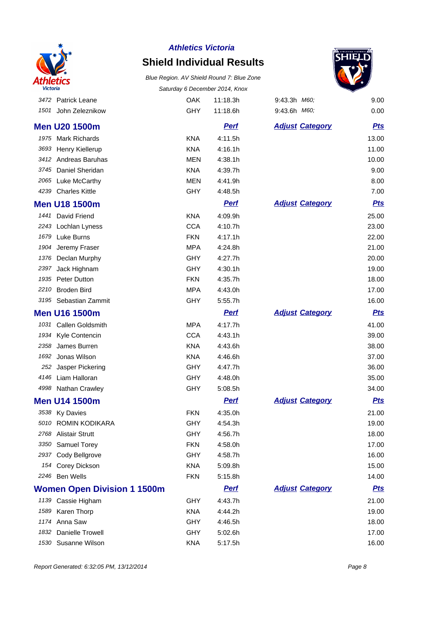

## **Shield Individual Results**



|      | 3472 Patrick Leane                 | <b>OAK</b> | 11:18.3h    | 9:43.3h M60;           | 9.00       |
|------|------------------------------------|------------|-------------|------------------------|------------|
|      | 1501 John Zeleznikow               | <b>GHY</b> | 11:18.6h    | 9:43.6h M60,           | 0.00       |
|      | <b>Men U20 1500m</b>               |            | <b>Perf</b> | <b>Adjust Category</b> | <u>Pts</u> |
|      | 1975 Mark Richards                 | <b>KNA</b> | 4:11.5h     |                        | 13.00      |
|      | 3693 Henry Kiellerup               | <b>KNA</b> | 4:16.1h     |                        | 11.00      |
|      | 3412 Andreas Baruhas               | <b>MEN</b> | 4:38.1h     |                        | 10.00      |
| 3745 | Daniel Sheridan                    | <b>KNA</b> | 4:39.7h     |                        | 9.00       |
|      | 2065 Luke McCarthy                 | <b>MEN</b> | 4:41.9h     |                        | 8.00       |
|      | 4239 Charles Kittle                | <b>GHY</b> | 4:48.5h     |                        | 7.00       |
|      | <b>Men U18 1500m</b>               |            | <b>Perf</b> | <b>Adjust Category</b> | <b>Pts</b> |
|      | 1441 David Friend                  | <b>KNA</b> | 4:09.9h     |                        | 25.00      |
|      | 2243 Lochlan Lyness                | <b>CCA</b> | 4:10.7h     |                        | 23.00      |
| 1679 | Luke Burns                         | <b>FKN</b> | 4:17.1h     |                        | 22.00      |
|      | 1904 Jeremy Fraser                 | MPA        | 4:24.8h     |                        | 21.00      |
|      | 1376 Declan Murphy                 | <b>GHY</b> | 4:27.7h     |                        | 20.00      |
| 2397 | Jack Highnam                       | <b>GHY</b> | 4:30.1h     |                        | 19.00      |
|      | 1935 Peter Dutton                  | <b>FKN</b> | 4:35.7h     |                        | 18.00      |
| 2210 | <b>Broden Bird</b>                 | <b>MPA</b> | 4:43.0h     |                        | 17.00      |
|      | 3195 Sebastian Zammit              | <b>GHY</b> | 5:55.7h     |                        | 16.00      |
|      | <b>Men U16 1500m</b>               |            | <b>Perf</b> | <b>Adjust Category</b> | <b>Pts</b> |
| 1031 | Callen Goldsmith                   | <b>MPA</b> | 4:17.7h     |                        | 41.00      |
|      | 1934 Kyle Contencin                | <b>CCA</b> | 4:43.1h     |                        | 39.00      |
| 2358 | James Burren                       | <b>KNA</b> | 4:43.6h     |                        | 38.00      |
| 1692 | Jonas Wilson                       | <b>KNA</b> | 4:46.6h     |                        | 37.00      |
|      | 252 Jasper Pickering               | GHY        | 4:47.7h     |                        | 36.00      |
|      | 4146 Liam Halloran                 | <b>GHY</b> | 4:48.0h     |                        | 35.00      |
|      | 4998 Nathan Crawley                | <b>GHY</b> | 5:08.5h     |                        | 34.00      |
|      | <b>Men U14 1500m</b>               |            | <b>Perf</b> | <b>Adjust Category</b> | <u>Pts</u> |
|      | 3538 Ky Davies                     | <b>FKN</b> | 4:35.0h     |                        | 21.00      |
|      | 5010 ROMIN KODIKARA                | <b>GHY</b> | 4:54.3h     |                        | 19.00      |
|      | 2768 Alistair Strutt               | <b>GHY</b> | 4:56.7h     |                        | 18.00      |
|      | 3350 Samuel Torey                  | <b>FKN</b> | 4:58.0h     |                        | 17.00      |
|      | 2937 Cody Bellgrove                | GHY        | 4:58.7h     |                        | 16.00      |
|      | 154 Corey Dickson                  | <b>KNA</b> | 5:09.8h     |                        | 15.00      |
|      | 2246 Ben Wells                     | <b>FKN</b> | 5:15.8h     |                        | 14.00      |
|      | <b>Women Open Division 1 1500m</b> |            | <b>Perf</b> | <b>Adjust Category</b> | <u>Pts</u> |
|      | 1139 Cassie Higham                 | <b>GHY</b> | 4:43.7h     |                        | 21.00      |
|      | 1589 Karen Thorp                   | <b>KNA</b> | 4:44.2h     |                        | 19.00      |
|      | 1174 Anna Saw                      | <b>GHY</b> | 4:46.5h     |                        | 18.00      |
| 1832 | Danielle Trowell                   | <b>GHY</b> | 5:02.6h     |                        | 17.00      |
|      | 1530 Susanne Wilson                | <b>KNA</b> | 5:17.5h     |                        | 16.00      |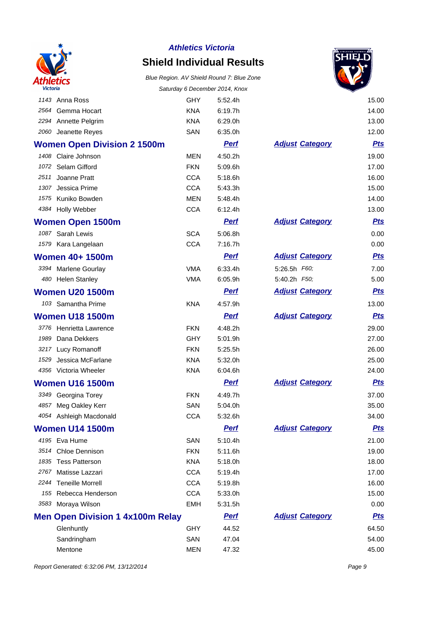

## **Shield Individual Results**

### Blue Region. AV Shield Round 7: Blue Zone Saturday 6 December 2014, Knox



|      |                                         |            | Saturday 6 December 2014, Knox |                        |            |
|------|-----------------------------------------|------------|--------------------------------|------------------------|------------|
|      | 1143 Anna Ross                          | <b>GHY</b> | 5:52.4h                        |                        | 15.00      |
|      | 2564 Gemma Hocart                       | <b>KNA</b> | 6:19.7h                        |                        | 14.00      |
|      | 2294 Annette Pelgrim                    | <b>KNA</b> | 6:29.0h                        |                        | 13.00      |
|      | 2060 Jeanette Reyes                     | SAN        | 6:35.0h                        |                        | 12.00      |
|      | <b>Women Open Division 2 1500m</b>      |            | <b>Perf</b>                    | <b>Adjust Category</b> | <u>Pts</u> |
|      | 1408 Claire Johnson                     | MEN        | 4:50.2h                        |                        | 19.00      |
|      | 1072 Selam Gifford                      | <b>FKN</b> | 5:09.6h                        |                        | 17.00      |
| 2511 | Joanne Pratt                            | <b>CCA</b> | 5:18.6h                        |                        | 16.00      |
|      | 1307 Jessica Prime                      | <b>CCA</b> | 5:43.3h                        |                        | 15.00      |
|      | 1575 Kuniko Bowden                      | <b>MEN</b> | 5:48.4h                        |                        | 14.00      |
|      | 4384 Holly Webber                       | <b>CCA</b> | 6:12.4h                        |                        | 13.00      |
|      | <b>Women Open 1500m</b>                 |            | <u>Perf</u>                    | <b>Adjust Category</b> | <u>Pts</u> |
|      | 1087 Sarah Lewis                        | <b>SCA</b> | 5:06.8h                        |                        | 0.00       |
|      | 1579 Kara Langelaan                     | <b>CCA</b> | 7:16.7h                        |                        | 0.00       |
|      | <b>Women 40+ 1500m</b>                  |            | <b>Perf</b>                    | <b>Adjust Category</b> | <u>Pts</u> |
|      | 3394 Marlene Gourlay                    | <b>VMA</b> | 6:33.4h                        | 5:26.5h F60;           | 7.00       |
|      | 480 Helen Stanley                       | <b>VMA</b> | 6:05.9h                        | 5:40.2h F50;           | 5.00       |
|      | <b>Women U20 1500m</b>                  |            | <u>Perf</u>                    | <b>Adjust Category</b> | <u>Pts</u> |
|      | 103 Samantha Prime                      | <b>KNA</b> | 4:57.9h                        |                        | 13.00      |
|      | <b>Women U18 1500m</b>                  |            | <b>Perf</b>                    | <b>Adjust Category</b> | <u>Pts</u> |
|      | 3776 Henrietta Lawrence                 | <b>FKN</b> | 4:48.2h                        |                        | 29.00      |
|      | 1989 Dana Dekkers                       | <b>GHY</b> | 5:01.9h                        |                        | 27.00      |
|      | 3217 Lucy Romanoff                      | <b>FKN</b> | 5:25.5h                        |                        | 26.00      |
| 1529 | Jessica McFarlane                       | <b>KNA</b> | 5:32.0h                        |                        | 25.00      |
|      | 4356 Victoria Wheeler                   | <b>KNA</b> | 6:04.6h                        |                        | 24.00      |
|      | <b>Women U16 1500m</b>                  |            | <b>Perf</b>                    | <b>Adjust Category</b> | <u>Pts</u> |
|      | 3349 Georgina Torey                     | <b>FKN</b> | 4:49.7h                        |                        | 37.00      |
|      | 4857 Meg Oakley Kerr                    | SAN        | 5:04.0h                        |                        | 35.00      |
|      | 4054 Ashleigh Macdonald                 | <b>CCA</b> | 5:32.6h                        |                        | 34.00      |
|      | <b>Women U14 1500m</b>                  |            | <b>Perf</b>                    | <b>Adjust Category</b> | <u>Pts</u> |
|      | 4195 Eva Hume                           | SAN        | 5:10.4h                        |                        | 21.00      |
|      | 3514 Chloe Dennison                     | <b>FKN</b> | 5:11.6h                        |                        | 19.00      |
|      | 1835 Tess Patterson                     | <b>KNA</b> | 5:18.0h                        |                        | 18.00      |
|      | 2767 Matisse Lazzari                    | <b>CCA</b> | 5:19.4h                        |                        | 17.00      |
|      | 2244 Teneille Morrell                   | <b>CCA</b> | 5:19.8h                        |                        | 16.00      |
|      | 155 Rebecca Henderson                   | <b>CCA</b> | 5:33.0h                        |                        | 15.00      |
|      | 3583 Moraya Wilson                      | <b>EMH</b> | 5:31.5h                        |                        | 0.00       |
|      | <b>Men Open Division 1 4x100m Relay</b> |            | <b>Perf</b>                    | <b>Adjust Category</b> | <u>Pts</u> |
|      | Glenhuntly                              | <b>GHY</b> | 44.52                          |                        | 64.50      |
|      | Sandringham                             | SAN        | 47.04                          |                        | 54.00      |
|      | Mentone                                 | <b>MEN</b> | 47.32                          |                        | 45.00      |

Report Generated: 6:32:06 PM, 13/12/2014 **Page 9**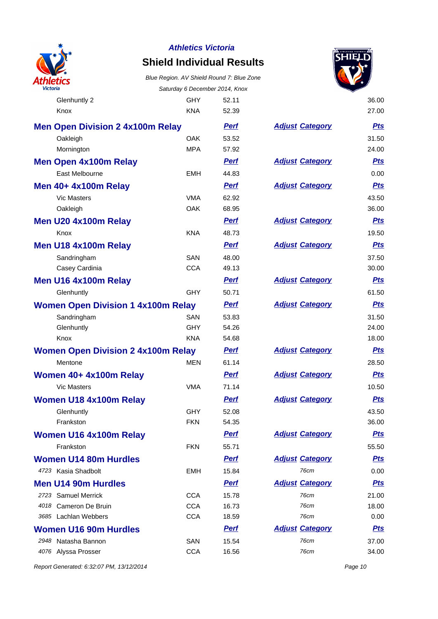

## **Shield Individual Results**

Blue Region. AV Shield Round 7: Blue Zone Saturday 6 December 2014, Knox

Glenhuntly 2 GHY 52.11 36.00



| Knox                                      | <b>KNA</b> | 52.39       |                        | 27.00      |
|-------------------------------------------|------------|-------------|------------------------|------------|
| <b>Men Open Division 2 4x100m Relay</b>   |            | <b>Perf</b> | <b>Adjust Category</b> | <u>Pts</u> |
| Oakleigh                                  | <b>OAK</b> | 53.52       |                        | 31.50      |
| Mornington                                | <b>MPA</b> | 57.92       |                        | 24.00      |
| <b>Men Open 4x100m Relay</b>              |            | <u>Perf</u> | <b>Adjust Category</b> | <b>Pts</b> |
| East Melbourne                            | <b>EMH</b> | 44.83       |                        | 0.00       |
| Men 40+ 4x100m Relay                      |            | <b>Perf</b> | <b>Adjust Category</b> | <b>Pts</b> |
| <b>Vic Masters</b>                        | <b>VMA</b> | 62.92       |                        | 43.50      |
| Oakleigh                                  | <b>OAK</b> | 68.95       |                        | 36.00      |
| Men U20 4x100m Relay                      |            | <b>Perf</b> | <b>Adjust Category</b> | <b>Pts</b> |
| Knox                                      | <b>KNA</b> | 48.73       |                        | 19.50      |
| Men U18 4x100m Relay                      |            | <b>Perf</b> | <b>Adjust Category</b> | <b>Pts</b> |
| Sandringham                               | SAN        | 48.00       |                        | 37.50      |
| Casey Cardinia                            | <b>CCA</b> | 49.13       |                        | 30.00      |
| Men U16 4x100m Relay                      |            | Perf        | <b>Adjust Category</b> | <u>Pts</u> |
| Glenhuntly                                | <b>GHY</b> | 50.71       |                        | 61.50      |
| <b>Women Open Division 1 4x100m Relay</b> |            | <b>Perf</b> | <b>Adjust Category</b> | <b>Pts</b> |
| Sandringham                               | <b>SAN</b> | 53.83       |                        | 31.50      |
| Glenhuntly                                | <b>GHY</b> | 54.26       |                        | 24.00      |
| Knox                                      | <b>KNA</b> | 54.68       |                        | 18.00      |
| <b>Women Open Division 2 4x100m Relay</b> |            | <b>Perf</b> | <b>Adjust Category</b> | <b>Pts</b> |
| Mentone                                   | <b>MEN</b> | 61.14       |                        | 28.50      |
| Women 40+ 4x100m Relay                    |            | <b>Perf</b> | <b>Adjust Category</b> | <b>Pts</b> |
| <b>Vic Masters</b>                        | <b>VMA</b> | 71.14       |                        | 10.50      |
| <b>Women U18 4x100m Relay</b>             |            | <b>Perf</b> | <b>Adjust Category</b> | <b>Pts</b> |
| Glenhuntly                                | <b>GHY</b> | 52.08       |                        | 43.50      |
| Frankston                                 | <b>FKN</b> | 54.35       |                        | 36.00      |
| Women U16 4x100m Relay                    |            | <b>Perf</b> | <b>Adjust Category</b> | <b>Pts</b> |
| Frankston                                 | <b>FKN</b> | 55.71       |                        | 55.50      |
| <b>Women U14 80m Hurdles</b>              |            | <b>Perf</b> | <b>Adjust Category</b> | <u>Pts</u> |
| 4723 Kasia Shadbolt                       | EMH        | 15.84       | 76cm                   | 0.00       |
| <b>Men U14 90m Hurdles</b>                |            | <u>Perf</u> | <b>Adjust Category</b> | <u>Pts</u> |
| 2723 Samuel Merrick                       | <b>CCA</b> | 15.78       | 76cm                   | 21.00      |
| 4018 Cameron De Bruin                     | <b>CCA</b> | 16.73       | 76cm                   | 18.00      |
| 3685 Lachlan Webbers                      | <b>CCA</b> | 18.59       | 76cm                   | 0.00       |
| <b>Women U16 90m Hurdles</b>              |            | <b>Perf</b> | <b>Adjust Category</b> | <u>Pts</u> |
| 2948 Natasha Bannon                       | SAN        | 15.54       | 76cm                   | 37.00      |

|                        | 31.50      |
|------------------------|------------|
|                        | 24.00      |
| <b>Adjust Category</b> | <b>Pts</b> |
|                        | 0.00       |
| <b>Adjust Category</b> | <u>Pts</u> |
|                        | 43.50      |
|                        | 36.00      |
| <b>Adjust Category</b> | <u>Pts</u> |
|                        | 19.50      |
| <b>Adjust Category</b> | <u>Pts</u> |
|                        | 37.50      |
|                        | 30.00      |
| <b>Adjust Category</b> | <u>Pts</u> |
|                        | 61.50      |
| <b>Adjust Category</b> | <u>Pts</u> |
|                        | 31.50      |
|                        | 24.00      |
|                        | 18.00      |
| <b>Adjust Category</b> | <u>Pts</u> |
|                        | 28.50      |
|                        |            |
| <b>Adjust Category</b> | <u>Pts</u> |
|                        | 10.50      |
| <b>Adjust Category</b> | <u>Pts</u> |
|                        | 43.50      |
|                        | 36.00      |
| <b>Adjust Category</b> | <u>Pts</u> |
|                        | 55.50      |
| <b>Adjust Category</b> | <u>Pts</u> |
| 76cm                   | 0.00       |
| <b>Adjust Category</b> | <b>Pts</b> |
| 76cm                   | 21.00      |
| 76cm                   | 18.00      |
| 76cm                   | 0.00       |
| <b>Adjust Category</b> | <u>Pts</u> |
| 76cm                   | 37.00      |

Report Generated: 6:32:07 PM, 13/12/2014 Page 10

4076 Alyssa Prosser CCA 16.56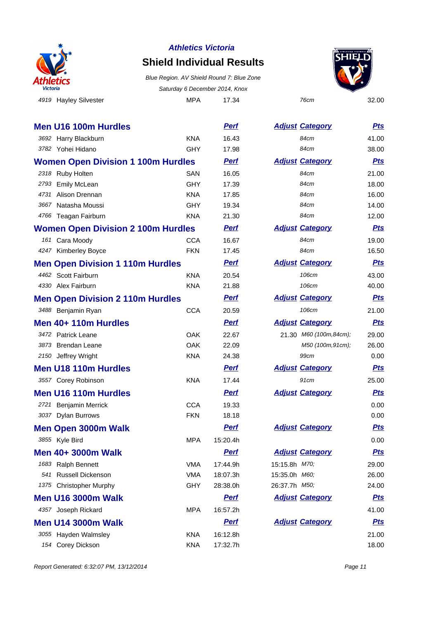

## **Shield Individual Results**

4919 Hayley Silvester MPA 17.34 76cm 32.00 Blue Region. AV Shield Round 7: Blue Zone Saturday 6 December 2014, Knox



|      | <b>Men U16 100m Hurdles</b>               |            | <b>Perf</b> |               | <b>Adjust Category</b> | <u>Pts</u> |
|------|-------------------------------------------|------------|-------------|---------------|------------------------|------------|
|      | 3692 Harry Blackburn                      | <b>KNA</b> | 16.43       |               | 84cm                   | 41.00      |
|      | 3782 Yohei Hidano                         | <b>GHY</b> | 17.98       |               | 84cm                   | 38.00      |
|      | <b>Women Open Division 1 100m Hurdles</b> |            | <u>Perf</u> |               | <b>Adjust Category</b> | <u>Pts</u> |
|      | 2318 Ruby Holten                          | <b>SAN</b> | 16.05       |               | 84cm                   | 21.00      |
| 2793 | <b>Emily McLean</b>                       | <b>GHY</b> | 17.39       |               | 84cm                   | 18.00      |
| 4731 | Alison Drennan                            | <b>KNA</b> | 17.85       |               | 84cm                   | 16.00      |
| 3667 | Natasha Moussi                            | <b>GHY</b> | 19.34       |               | 84cm                   | 14.00      |
|      | 4766 Teagan Fairburn                      | <b>KNA</b> | 21.30       |               | 84cm                   | 12.00      |
|      | <b>Women Open Division 2 100m Hurdles</b> |            | <b>Perf</b> |               | <b>Adjust Category</b> | <u>Pts</u> |
|      | 161 Cara Moody                            | <b>CCA</b> | 16.67       |               | 84cm                   | 19.00      |
|      | 4247 Kimberley Boyce                      | <b>FKN</b> | 17.45       |               | 84cm                   | 16.50      |
|      | <b>Men Open Division 1 110m Hurdles</b>   |            | <b>Perf</b> |               | <b>Adjust Category</b> | <u>Pts</u> |
|      | 4462 Scott Fairburn                       | <b>KNA</b> | 20.54       |               | 106cm                  | 43.00      |
|      | 4330 Alex Fairburn                        | <b>KNA</b> | 21.88       |               | 106cm                  | 40.00      |
|      | <b>Men Open Division 2 110m Hurdles</b>   |            | <b>Perf</b> |               | <b>Adjust Category</b> | <u>Pts</u> |
|      | 3488 Benjamin Ryan                        | <b>CCA</b> | 20.59       |               | 106cm                  | 21.00      |
|      | Men 40+ 110m Hurdles                      |            | <b>Perf</b> |               | <b>Adjust Category</b> | <b>Pts</b> |
|      | 3472 Patrick Leane                        | <b>OAK</b> | 22.67       |               | 21.30 M60 (100m,84cm); | 29.00      |
|      | 3873 Brendan Leane                        | <b>OAK</b> | 22.09       |               | M50 (100m, 91cm);      | 26.00      |
|      | 2150 Jeffrey Wright                       | <b>KNA</b> | 24.38       |               | 99cm                   | 0.00       |
|      | <b>Men U18 110m Hurdles</b>               |            | <b>Perf</b> |               | <b>Adjust Category</b> | <b>Pts</b> |
|      | 3557 Corey Robinson                       | <b>KNA</b> | 17.44       |               | 91cm                   | 25.00      |
|      | <b>Men U16 110m Hurdles</b>               |            | <b>Perf</b> |               | <b>Adjust Category</b> | <b>Pts</b> |
|      | 2721 Benjamin Merrick                     | <b>CCA</b> | 19.33       |               |                        | 0.00       |
|      | 3037 Dylan Burrows                        | <b>FKN</b> | 18.18       |               |                        | 0.00       |
|      | <b>Men Open 3000m Walk</b>                |            | Perf        |               | <b>Adjust Category</b> | <b>Pts</b> |
|      | 3855 Kyle Bird                            | <b>MPA</b> | 15:20.4h    |               |                        | 0.00       |
|      | Men 40+ 3000m Walk                        |            | <u>Perf</u> |               | <b>Adjust Category</b> | <u>Pts</u> |
|      | 1683 Ralph Bennett                        | <b>VMA</b> | 17:44.9h    | 15:15.8h M70; |                        | 29.00      |
| 541  | <b>Russell Dickenson</b>                  | <b>VMA</b> | 18:07.3h    | 15:35.0h M60; |                        | 26.00      |
| 1375 | <b>Christopher Murphy</b>                 | <b>GHY</b> | 28:38.0h    | 26:37.7h M50; |                        | 24.00      |
|      | <b>Men U16 3000m Walk</b>                 |            | <b>Perf</b> |               | <b>Adjust Category</b> | <u>Pts</u> |
|      | 4357 Joseph Rickard                       | <b>MPA</b> | 16:57.2h    |               |                        | 41.00      |
|      | Men U14 3000m Walk                        |            | <b>Perf</b> |               | <b>Adjust Category</b> | <u>Pts</u> |
|      | 3055 Hayden Walmsley                      | <b>KNA</b> | 16:12.8h    |               |                        | 21.00      |
|      | 154 Corey Dickson                         | <b>KNA</b> | 17:32.7h    |               |                        | 18.00      |

| <b>Adjust Category</b> | <u>Pts</u>        |
|------------------------|-------------------|
| 84cm                   | 41.00             |
| 84cm                   | 38.00             |
| <b>Adjust Category</b> | <u>Pts</u>        |
| 84cm                   | 21.00             |
| 84cm                   | 18.00             |
| 84cm                   | 16.00             |
| 84cm                   | 14.00             |
| 84cm                   | 12.00             |
| <b>Adjust Category</b> | <u>Pts</u>        |
| 84cm                   | 19.00             |
| 84cm                   | 16.50             |
| <b>Adjust Category</b> | <b>Pts</b>        |
| 106cm                  | 43.00             |
| 106cm                  | 40.00             |
| <b>Adjust Category</b> | <u>Pts</u>        |
| 106cm                  | 21.00             |
| <b>Adjust Category</b> | <b>Pts</b>        |
| 21.30 M60 (100m,84cm); | 29.00             |
|                        | 26.00             |
| 99cm                   | 0.00              |
| <b>Adjust Category</b> | <u>Pts</u>        |
| 91cm                   | 25.00             |
| <b>Adjust Category</b> | <u>Pts</u>        |
|                        | 0.00              |
|                        | 0.00              |
| <b>Adjust Category</b> | <b>Pts</b>        |
|                        | 0.00              |
| <b>Adjust Category</b> | <u>Pts</u>        |
| 15:15.8h M70;          | 29.00             |
| 15:35.0h <i>M60</i> ;  | 26.00             |
| 26:37.7h M50;          | 24.00             |
| <b>Adjust Category</b> | <u>Pts</u>        |
|                        | 41.00             |
| <b>Adjust Category</b> | <u>Pts</u>        |
|                        | 21.00             |
|                        | 18.00             |
|                        | M50 (100m, 91cm); |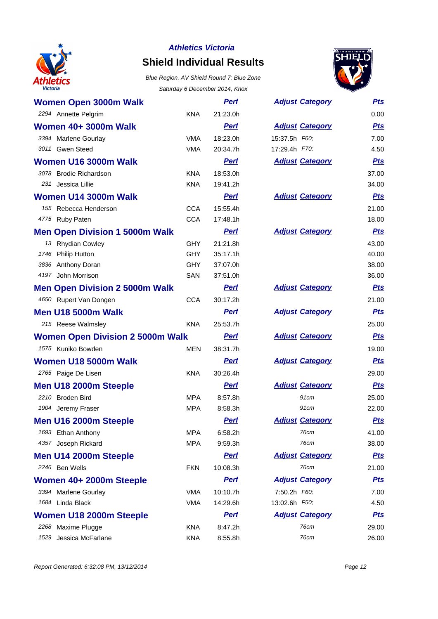

# **Shield Individual Results**



|                                         |            | odididay o Deceniber 2014, Niox |                        |            |
|-----------------------------------------|------------|---------------------------------|------------------------|------------|
| <b>Women Open 3000m Walk</b>            |            | <b>Perf</b>                     | <b>Adjust Category</b> | <u>Pts</u> |
| 2294 Annette Pelgrim                    | <b>KNA</b> | 21:23.0h                        |                        | 0.00       |
| <b>Women 40+ 3000m Walk</b>             |            | <b>Perf</b>                     | <b>Adjust Category</b> | <b>Pts</b> |
| 3394 Marlene Gourlay                    | <b>VMA</b> | 18:23.0h                        | 15:37.5h F60;          | 7.00       |
| 3011 Gwen Steed                         | <b>VMA</b> | 20:34.7h                        | 17:29.4h F70;          | 4.50       |
| Women U16 3000m Walk                    |            | <b>Perf</b>                     | <b>Adjust Category</b> | <b>Pts</b> |
| 3078 Brodie Richardson                  | <b>KNA</b> | 18:53.0h                        |                        | 37.00      |
| 231 Jessica Lillie                      | <b>KNA</b> | 19:41.2h                        |                        | 34.00      |
| Women U14 3000m Walk                    |            | <b>Perf</b>                     | <b>Adjust Category</b> | <u>Pts</u> |
| 155 Rebecca Henderson                   | <b>CCA</b> | 15:55.4h                        |                        | 21.00      |
| 4775 Ruby Paten                         | <b>CCA</b> | 17:48.1h                        |                        | 18.00      |
| <b>Men Open Division 1 5000m Walk</b>   |            | <b>Perf</b>                     | <b>Adjust Category</b> | <u>Pts</u> |
| 13 Rhydian Cowley                       | <b>GHY</b> | 21:21.8h                        |                        | 43.00      |
| 1746 Philip Hutton                      | <b>GHY</b> | 35:17.1h                        |                        | 40.00      |
| 3836 Anthony Doran                      | <b>GHY</b> | 37:07.0h                        |                        | 38.00      |
| 4197 John Morrison                      | SAN        | 37:51.0h                        |                        | 36.00      |
| <b>Men Open Division 2 5000m Walk</b>   |            | <b>Perf</b>                     | <b>Adjust Category</b> | <u>Pts</u> |
| 4650 Rupert Van Dongen                  | <b>CCA</b> | 30:17.2h                        |                        | 21.00      |
| <b>Men U18 5000m Walk</b>               |            | <b>Perf</b>                     | <b>Adjust Category</b> | <u>Pts</u> |
| 215 Reese Walmsley                      | <b>KNA</b> | 25:53.7h                        |                        | 25.00      |
| <b>Women Open Division 2 5000m Walk</b> |            | <b>Perf</b>                     | <b>Adjust Category</b> | <b>Pts</b> |
| 1575 Kuniko Bowden                      | <b>MEN</b> | 38:31.7h                        |                        | 19.00      |
| Women U18 5000m Walk                    |            | <b>Perf</b>                     | <b>Adjust Category</b> | <b>Pts</b> |
| 2765 Paige De Lisen                     | <b>KNA</b> | 30:26.4h                        |                        | 29.00      |
| Men U18 2000m Steeple                   |            | <b>Perf</b>                     | <b>Adjust Category</b> | <u>Pts</u> |
| 2210 Broden Bird                        | <b>MPA</b> | 8:57.8h                         | 91cm                   | 25.00      |
| 1904 Jeremy Fraser                      | <b>MPA</b> | 8:58.3h                         | 91cm                   | 22.00      |
| Men U16 2000m Steeple                   |            | <b>Pert</b>                     | <b>Adjust Category</b> | <u>Pts</u> |
| 1693 Ethan Anthony                      | <b>MPA</b> | 6:58.2h                         | 76cm                   | 41.00      |
| 4357 Joseph Rickard                     | <b>MPA</b> | 9:59.3h                         | 76cm                   | 38.00      |
| Men U14 2000m Steeple                   |            | <b>Perf</b>                     | <b>Adjust Category</b> | <b>Pts</b> |
| 2246 Ben Wells                          | <b>FKN</b> | 10:08.3h                        | 76cm                   | 21.00      |
| Women 40+ 2000m Steeple                 |            | <b>Perf</b>                     | <b>Adjust Category</b> | <b>Pts</b> |
| 3394 Marlene Gourlay                    | <b>VMA</b> | 10:10.7h                        | 7:50.2h F60;           | 7.00       |
| 1684 Linda Black                        | <b>VMA</b> | 14:29.6h                        | 13:02.6h F50;          | 4.50       |
| Women U18 2000m Steeple                 |            | <b>Perf</b>                     | <b>Adjust Category</b> | <b>Pts</b> |
| 2268 Maxime Plugge                      | <b>KNA</b> | 8:47.2h                         | 76cm                   | 29.00      |
| Jessica McFarlane<br>1529               | <b>KNA</b> | 8:55.8h                         | 76cm                   | 26.00      |

| <b>Adjust Category</b> | <b>Pts</b> |
|------------------------|------------|
|                        | 0.00       |
| <b>Adjust Category</b> | <b>Pts</b> |
| 15:37.5h F60;          | 7.00       |
| 17:29.4h F70;          | 4.50       |
| <b>Adjust Category</b> | <u>Pts</u> |
|                        | 37.00      |
|                        | 34.00      |
| <b>Adjust Category</b> | <b>Pts</b> |
|                        | 21.00      |
|                        | 18.00      |
| <b>Adjust Category</b> | <b>Pts</b> |
|                        | 43.00      |
|                        | 40.00      |
|                        | 38.00      |
|                        | 36.00      |
| <b>Adjust Category</b> | <u>Pts</u> |
|                        | 21.00      |
| <b>Adjust Category</b> | <u>Pts</u> |
|                        | 25.00      |
| <b>Adjust Category</b> | <b>Pts</b> |
|                        | 19.00      |
| <b>Adjust Category</b> | <u>Pts</u> |
|                        | 29.00      |
| <b>Adjust Category</b> | <u>Pts</u> |
| 91cm                   | 25.00      |
| 91cm                   | 22.00      |
| <b>Adjust Category</b> | <b>Pts</b> |
| 76cm                   | 41.00      |
| 76cm                   | 38.00      |
| <b>Adjust Category</b> | <b>Pts</b> |
| 76cm                   | 21.00      |
| <b>Adjust Category</b> | <u>Pts</u> |
| 7:50.2h F60;           | 7.00       |
| 13:02.6h F50;          | 4.50       |
| <b>Adjust Category</b> | <u>Pts</u> |
| 76cm                   | 29.00      |
| 76cm                   | 26.00      |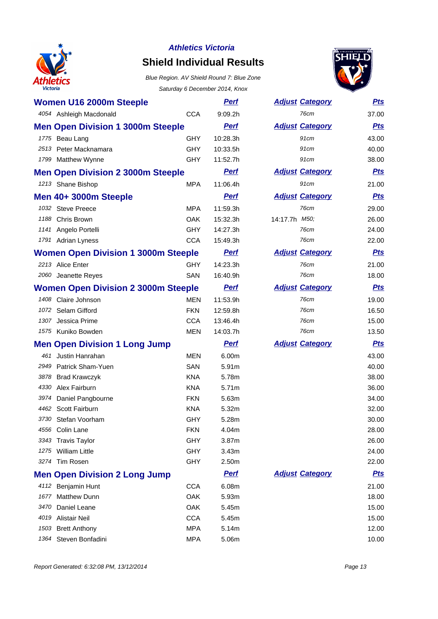

# **Shield Individual Results**



|      | Women U16 2000m Steeple                    |            | <u>Perf</u> | <b>Adjust Category</b> | <u>Pts</u> |
|------|--------------------------------------------|------------|-------------|------------------------|------------|
|      | 4054 Ashleigh Macdonald                    | <b>CCA</b> | 9:09.2h     | <b>76cm</b>            | 37.00      |
|      | <b>Men Open Division 1 3000m Steeple</b>   |            | <b>Pert</b> | <b>Adjust Category</b> | <b>Pts</b> |
|      | 1775 Beau Lang                             | <b>GHY</b> | 10:28.3h    | 91cm                   | 43.00      |
|      | 2513 Peter Macknamara                      | <b>GHY</b> | 10:33.5h    | 91cm                   | 40.00      |
|      | 1799 Matthew Wynne                         | <b>GHY</b> | 11:52.7h    | 91cm                   | 38.00      |
|      | <b>Men Open Division 2 3000m Steeple</b>   |            | <u>Perf</u> | <b>Adjust Category</b> | <u>Pts</u> |
|      | 1213 Shane Bishop                          | <b>MPA</b> | 11:06.4h    | 91cm                   | 21.00      |
|      | Men 40+ 3000m Steeple                      |            | <b>Perf</b> | <b>Adjust Category</b> | <b>Pts</b> |
|      | 1032 Steve Preece                          | <b>MPA</b> | 11:59.3h    | 76cm                   | 29.00      |
|      | 1188 Chris Brown                           | <b>OAK</b> | 15:32.3h    | 14:17.7h M50;          | 26.00      |
|      | 1141 Angelo Portelli                       | <b>GHY</b> | 14:27.3h    | 76cm                   | 24.00      |
|      | 1791 Adrian Lyness                         | <b>CCA</b> | 15:49.3h    | 76cm                   | 22.00      |
|      | <b>Women Open Division 1 3000m Steeple</b> |            | <b>Perf</b> | <b>Adjust Category</b> | <u>Pts</u> |
|      | 2213 Alice Enter                           | <b>GHY</b> | 14:23.3h    | 76cm                   | 21.00      |
|      | 2060 Jeanette Reyes                        | SAN        | 16:40.9h    | 76cm                   | 18.00      |
|      | <b>Women Open Division 2 3000m Steeple</b> |            | <u>Perf</u> | <b>Adjust Category</b> | <u>Pts</u> |
|      | 1408 Claire Johnson                        | <b>MEN</b> | 11:53.9h    | 76cm                   | 19.00      |
| 1072 | Selam Gifford                              | <b>FKN</b> | 12:59.8h    | 76cm                   | 16.50      |
| 1307 | Jessica Prime                              | <b>CCA</b> | 13:46.4h    | 76cm                   | 15.00      |
|      | 1575 Kuniko Bowden                         | <b>MEN</b> | 14:03.7h    | 76cm                   | 13.50      |
|      | <b>Men Open Division 1 Long Jump</b>       |            | <b>Perf</b> | <b>Adjust Category</b> | <u>Pts</u> |
|      | 461 Justin Hanrahan                        | <b>MEN</b> | 6.00m       |                        | 43.00      |
| 2949 | Patrick Sham-Yuen                          | SAN        | 5.91m       |                        | 40.00      |
| 3878 | <b>Brad Krawczyk</b>                       | <b>KNA</b> | 5.78m       |                        | 38.00      |
| 4330 | Alex Fairburn                              | KNA        | 5.71m       |                        | 36.00      |
| 3974 | Daniel Pangbourne                          | <b>FKN</b> | 5.63m       |                        | 34.00      |
| 4462 | Scott Fairburn                             | <b>KNA</b> | 5.32m       |                        | 32.00      |
|      | 3730 Stefan Voorham                        | GHY        | 5.28m       |                        | 30.00      |
|      | 4556 Colin Lane                            | <b>FKN</b> | 4.04m       |                        | 28.00      |
| 3343 | <b>Travis Taylor</b>                       | <b>GHY</b> | 3.87m       |                        | 26.00      |
| 1275 | <b>William Little</b>                      | <b>GHY</b> | 3.43m       |                        | 24.00      |
|      | 3274 Tim Rosen                             | <b>GHY</b> | 2.50m       |                        | 22.00      |
|      | <b>Men Open Division 2 Long Jump</b>       |            | <b>Perf</b> | <b>Adjust Category</b> | <b>Pts</b> |
|      | 4112 Benjamin Hunt                         | <b>CCA</b> | 6.08m       |                        | 21.00      |
| 1677 | <b>Matthew Dunn</b>                        | OAK        | 5.93m       |                        | 18.00      |
| 3470 | Daniel Leane                               | <b>OAK</b> | 5.45m       |                        | 15.00      |
| 4019 | Alistair Neil                              | <b>CCA</b> | 5.45m       |                        | 15.00      |
| 1503 | <b>Brett Anthony</b>                       | <b>MPA</b> | 5.14m       |                        | 12.00      |
| 1364 | Steven Bonfadini                           | <b>MPA</b> | 5.06m       |                        | 10.00      |

| <b>Adjust Category</b> | <u>Pts</u> |
|------------------------|------------|
| 76cm                   | 37.00      |
| <b>Adjust Category</b> | <u>Pts</u> |
| 91cm                   | 43.00      |
| 91cm                   | 40.00      |
| 91cm                   | 38.00      |
| <b>Adjust Category</b> | <b>Pts</b> |
| 91cm                   | 21.00      |
| <b>Adjust Category</b> | <u>Pts</u> |
| 76cm                   | 29.00      |
| 14:17.7h M50;          | 26.00      |
| 76cm                   | 24.00      |
| 76cm                   | 22.00      |
| <b>Adjust Category</b> | <u>Pts</u> |
| 76cm                   | 21.00      |
| 76cm                   | 18.00      |
| <b>Adjust Category</b> | <b>Pts</b> |
| 76cm                   | 19.00      |
| 76cm                   | 16.50      |
| 76cm                   | 15.00      |
| 76cm                   | 13.50      |
| <b>Adjust Category</b> | <u>Pts</u> |
|                        | 43.00      |
|                        | 40.00      |
|                        | 38.00      |
|                        | 36.00      |
|                        | 34.00      |
|                        | 32.00      |
|                        | 30.00      |
|                        | 28.00      |
|                        | 26.00      |
|                        | 24.00      |
|                        | 22.00      |
| <u>Adjust Category</u> | <u>Pts</u> |
|                        | 21.00      |
|                        | 18.00      |
|                        | 15.00      |
|                        | 15.00      |
|                        | 12.00      |
|                        |            |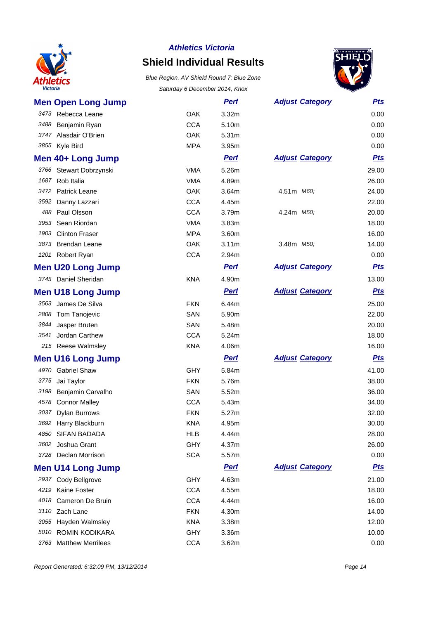

# **Shield Individual Results**



|      | <b>Men Open Long Jump</b> |            | <u>Perf</u>       | <b>Adjust Category</b> | <b>Pts</b> |
|------|---------------------------|------------|-------------------|------------------------|------------|
|      | 3473 Rebecca Leane        | <b>OAK</b> | 3.32m             |                        | 0.00       |
|      | 3488 Benjamin Ryan        | <b>CCA</b> | 5.10m             |                        | 0.00       |
|      | 3747 Alasdair O'Brien     | <b>OAK</b> | 5.31m             |                        | 0.00       |
|      | 3855 Kyle Bird            | <b>MPA</b> | 3.95m             |                        | 0.00       |
|      | Men 40+ Long Jump         |            | <b>Perf</b>       | <b>Adjust Category</b> | <u>Pts</u> |
|      | 3766 Stewart Dobrzynski   | <b>VMA</b> | 5.26m             |                        | 29.00      |
|      | 1687 Rob Italia           | <b>VMA</b> | 4.89m             |                        | 26.00      |
|      | 3472 Patrick Leane        | <b>OAK</b> | 3.64m             | 4.51m M60,             | 24.00      |
|      | 3592 Danny Lazzari        | <b>CCA</b> | 4.45m             |                        | 22.00      |
|      | 488 Paul Olsson           | <b>CCA</b> | 3.79m             | 4.24m <i>M50;</i>      | 20.00      |
|      | 3953 Sean Riordan         | <b>VMA</b> | 3.83m             |                        | 18.00      |
|      | 1903 Clinton Fraser       | <b>MPA</b> | 3.60m             |                        | 16.00      |
|      | 3873 Brendan Leane        | <b>OAK</b> | 3.11 <sub>m</sub> | 3.48m M50;             | 14.00      |
|      | 1201 Robert Ryan          | <b>CCA</b> | 2.94m             |                        | 0.00       |
|      | <b>Men U20 Long Jump</b>  |            | <b>Pert</b>       | <b>Adjust Category</b> | <u>Pts</u> |
|      | 3745 Daniel Sheridan      | <b>KNA</b> | 4.90m             |                        | 13.00      |
|      | <b>Men U18 Long Jump</b>  |            | <b>Pert</b>       | <b>Adjust Category</b> | <b>Pts</b> |
|      | 3563 James De Silva       | <b>FKN</b> | 6.44m             |                        | 25.00      |
|      | 2808 Tom Tanojevic        | SAN        | 5.90m             |                        | 22.00      |
|      | 3844 Jasper Bruten        | SAN        | 5.48m             |                        | 20.00      |
|      | 3541 Jordan Carthew       | <b>CCA</b> | 5.24m             |                        | 18.00      |
|      | 215 Reese Walmsley        | <b>KNA</b> | 4.06m             |                        | 16.00      |
|      | <b>Men U16 Long Jump</b>  |            | <b>Perf</b>       | <b>Adjust Category</b> | <u>Pts</u> |
|      | 4970 Gabriel Shaw         | <b>GHY</b> | 5.84m             |                        | 41.00      |
| 3775 | Jai Taylor                | <b>FKN</b> | 5.76m             |                        | 38.00      |
|      | 3198 Benjamin Carvalho    | SAN        | 5.52m             |                        | 36.00      |
|      | 4578 Connor Malley        | <b>CCA</b> | 5.43m             |                        | 34.00      |
|      | 3037 Dylan Burrows        | <b>FKN</b> | 5.27m             |                        | 32.00      |
|      | 3692 Harry Blackburn      | <b>KNA</b> | 4.95m             |                        | 30.00      |
|      | 4850 SIFAN BADADA         | HLB        | 4.44m             |                        | 28.00      |
|      | 3602 Joshua Grant         | <b>GHY</b> | 4.37m             |                        | 26.00      |
|      | 3728 Declan Morrison      | <b>SCA</b> | 5.57m             |                        | 0.00       |
|      | <b>Men U14 Long Jump</b>  |            | <b>Perf</b>       | <b>Adjust Category</b> | <b>Pts</b> |
|      | 2937 Cody Bellgrove       | <b>GHY</b> | 4.63m             |                        | 21.00      |
|      | 4219 Kaine Foster         | <b>CCA</b> | 4.55m             |                        | 18.00      |
|      | 4018 Cameron De Bruin     | <b>CCA</b> | 4.44m             |                        | 16.00      |
|      | 3110 Zach Lane            | <b>FKN</b> | 4.30m             |                        | 14.00      |
|      | 3055 Hayden Walmsley      | <b>KNA</b> | 3.38 <sub>m</sub> |                        | 12.00      |
|      | 5010 ROMIN KODIKARA       | <b>GHY</b> | 3.36m             |                        | 10.00      |
|      | 3763 Matthew Merrilees    | <b>CCA</b> | 3.62m             |                        | 0.00       |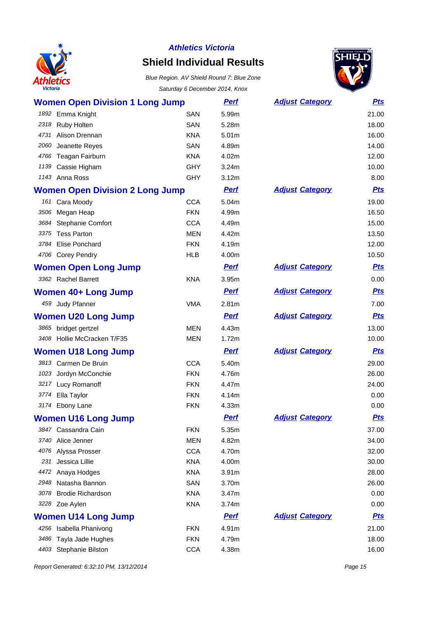

# **Shield Individual Results**



|                         | <b>Women Open Division 1 Long Jump</b> |            | <b>Perf</b>       | <b>Adjust Category</b> | <b>Pts</b> |
|-------------------------|----------------------------------------|------------|-------------------|------------------------|------------|
| 1892 Emma Knight        |                                        | <b>SAN</b> | 5.99m             |                        | 21.00      |
| 2318 Ruby Holten        |                                        | SAN        | 5.28m             |                        | 18.00      |
| 4731 Alison Drennan     |                                        | <b>KNA</b> | 5.01m             |                        | 16.00      |
| 2060                    | Jeanette Reyes                         | SAN        | 4.89m             |                        | 14.00      |
| 4766 Teagan Fairburn    |                                        | <b>KNA</b> | 4.02m             |                        | 12.00      |
| 1139 Cassie Higham      |                                        | <b>GHY</b> | 3.24m             |                        | 10.00      |
| 1143 Anna Ross          |                                        | <b>GHY</b> | 3.12m             |                        | 8.00       |
|                         | <b>Women Open Division 2 Long Jump</b> |            | <b>Perf</b>       | <b>Adjust Category</b> | <b>Pts</b> |
| 161 Cara Moody          |                                        | <b>CCA</b> | 5.04m             |                        | 19.00      |
| Megan Heap<br>3506      |                                        | <b>FKN</b> | 4.99m             |                        | 16.50      |
| 3684                    | Stephanie Comfort                      | <b>CCA</b> | 4.49m             |                        | 15.00      |
| 3375 Tess Parton        |                                        | <b>MEN</b> | 4.42m             |                        | 13.50      |
| 3784 Elise Ponchard     |                                        | <b>FKN</b> | 4.19m             |                        | 12.00      |
| 4706 Corey Pendry       |                                        | <b>HLB</b> | 4.00m             |                        | 10.50      |
|                         | <b>Women Open Long Jump</b>            |            | <b>Pert</b>       | <b>Adjust Category</b> | <u>Pts</u> |
| 3362 Rachel Barrett     |                                        | <b>KNA</b> | 3.95m             |                        | 0.00       |
|                         | <b>Women 40+ Long Jump</b>             |            | <b>Perf</b>       | <b>Adjust Category</b> | <b>Pts</b> |
| 459 Judy Pfanner        |                                        | <b>VMA</b> | 2.81m             |                        | 7.00       |
|                         | <b>Women U20 Long Jump</b>             |            | <b>Perf</b>       | <b>Adjust Category</b> | <b>Pts</b> |
| 3865 bridget gertzel    |                                        | <b>MEN</b> | 4.43m             |                        | 13.00      |
|                         | 3408 Hollie McCracken T/F35            | MEN        | 1.72m             |                        | 10.00      |
|                         | <b>Women U18 Long Jump</b>             |            | <b>Perf</b>       | <b>Adjust Category</b> | <b>Pts</b> |
| 3813 Carmen De Bruin    |                                        | <b>CCA</b> | 5.40m             |                        | 29.00      |
| 1023 Jordyn McConchie   |                                        | <b>FKN</b> | 4.76m             |                        | 26.00      |
| 3217 Lucy Romanoff      |                                        | <b>FKN</b> | 4.47m             |                        | 24.00      |
| 3774 Ella Taylor        |                                        | <b>FKN</b> | 4.14m             |                        | 0.00       |
| 3174 Ebony Lane         |                                        | <b>FKN</b> | 4.33m             |                        | 0.00       |
|                         | <b>Women U16 Long Jump</b>             |            | <b>Perf</b>       | <b>Adjust Category</b> | <b>Pts</b> |
| 3847 Cassandra Cain     |                                        | <b>FKN</b> | 5.35m             |                        | 37.00      |
| Alice Jenner<br>3740    |                                        | <b>MEN</b> | 4.82m             |                        | 34.00      |
| 4076                    | Alyssa Prosser                         | <b>CCA</b> | 4.70m             |                        | 32.00      |
| Jessica Lillie<br>231   |                                        | <b>KNA</b> | 4.00m             |                        | 30.00      |
| 4472                    | Anaya Hodges                           | <b>KNA</b> | 3.91 <sub>m</sub> |                        | 28.00      |
| 2948                    | Natasha Bannon                         | SAN        | 3.70m             |                        | 26.00      |
| 3078                    | <b>Brodie Richardson</b>               | <b>KNA</b> | 3.47m             |                        | 0.00       |
| 3228 Zoe Aylen          |                                        | <b>KNA</b> | 3.74m             |                        | 0.00       |
|                         | <b>Women U14 Long Jump</b>             |            | <b>Pert</b>       | <b>Adjust Category</b> | <u>Pts</u> |
| 4256 Isabella Phanivong |                                        | <b>FKN</b> | 4.91m             |                        | 21.00      |
| 3486                    | Tayla Jade Hughes                      | <b>FKN</b> | 4.79m             |                        | 18.00      |
| 4403                    | Stephanie Bilston                      | <b>CCA</b> | 4.38m             |                        | 16.00      |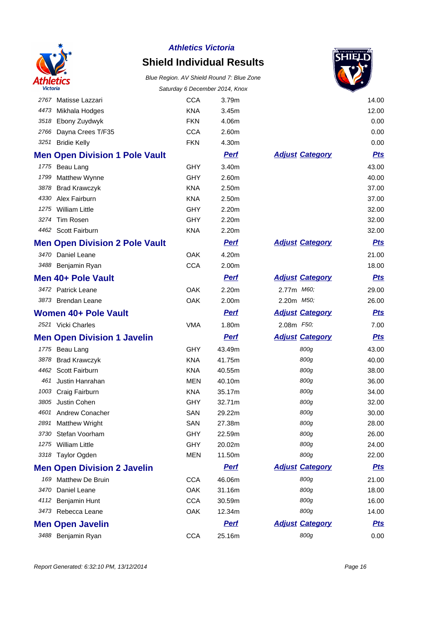

# **Shield Individual Results**



|      |                                       |            |             |                        | ▽          |
|------|---------------------------------------|------------|-------------|------------------------|------------|
|      | 2767 Matisse Lazzari                  | <b>CCA</b> | 3.79m       |                        | 14.00      |
| 4473 | Mikhala Hodges                        | <b>KNA</b> | 3.45m       |                        | 12.00      |
| 3518 | Ebony Zuydwyk                         | <b>FKN</b> | 4.06m       |                        | 0.00       |
| 2766 | Dayna Crees T/F35                     | <b>CCA</b> | 2.60m       |                        | 0.00       |
|      | 3251 Bridie Kelly                     | <b>FKN</b> | 4.30m       |                        | 0.00       |
|      | <b>Men Open Division 1 Pole Vault</b> |            | <b>Pert</b> | <b>Adjust Category</b> | <b>Pts</b> |
|      | 1775 Beau Lang                        | <b>GHY</b> | 3.40m       |                        | 43.00      |
| 1799 | Matthew Wynne                         | GHY        | 2.60m       |                        | 40.00      |
| 3878 | <b>Brad Krawczyk</b>                  | <b>KNA</b> | 2.50m       |                        | 37.00      |
| 4330 | Alex Fairburn                         | <b>KNA</b> | 2.50m       |                        | 37.00      |
|      | 1275 William Little                   | <b>GHY</b> | 2.20m       |                        | 32.00      |
| 3274 | Tim Rosen                             | <b>GHY</b> | 2.20m       |                        | 32.00      |
|      | 4462 Scott Fairburn                   | <b>KNA</b> | 2.20m       |                        | 32.00      |
|      | <b>Men Open Division 2 Pole Vault</b> |            | <b>Perf</b> | <b>Adjust Category</b> | <u>Pts</u> |
|      | 3470 Daniel Leane                     | <b>OAK</b> | 4.20m       |                        | 21.00      |
|      | 3488 Benjamin Ryan                    | <b>CCA</b> | 2.00m       |                        | 18.00      |
|      | Men 40+ Pole Vault                    |            | <b>Perf</b> | <b>Adjust Category</b> | <u>Pts</u> |
|      | 3472 Patrick Leane                    | OAK        | 2.20m       | 2.77m M60;             | 29.00      |
|      | 3873 Brendan Leane                    | OAK        | 2.00m       | 2.20m <i>M50;</i>      | 26.00      |
|      | Women 40+ Pole Vault                  |            | <b>Perf</b> | <b>Adjust Category</b> | <u>Pts</u> |
|      | 2521 Vicki Charles                    | <b>VMA</b> | 1.80m       | 2.08m F50;             | 7.00       |
|      | <b>Men Open Division 1 Javelin</b>    |            | <b>Pert</b> | <b>Adjust Category</b> | <b>Pts</b> |
|      | 1775 Beau Lang                        | GHY        | 43.49m      | 800g                   | 43.00      |
| 3878 | <b>Brad Krawczyk</b>                  | <b>KNA</b> | 41.75m      | 800g                   | 40.00      |
| 4462 | Scott Fairburn                        | <b>KNA</b> | 40.55m      | 800g                   | 38.00      |
|      | 461 Justin Hanrahan                   | <b>MEN</b> | 40.10m      | 800g                   | 36.00      |
|      | 1003 Craig Fairburn                   | <b>KNA</b> | 35.17m      | 800g                   | 34.00      |
| 3805 | Justin Cohen                          | <b>GHY</b> | 32.71m      | 800g                   | 32.00      |
|      | 4601 Andrew Conacher                  | SAN        | 29.22m      | 800g                   | 30.00      |
| 2891 | <b>Matthew Wright</b>                 | SAN        | 27.38m      | 800g                   | 28.00      |
| 3730 | Stefan Voorham                        | GHY        | 22.59m      | 800g                   | 26.00      |
| 1275 | <b>William Little</b>                 | <b>GHY</b> | 20.02m      | 800g                   | 24.00      |
|      | 3318 Taylor Ogden                     | <b>MEN</b> | 11.50m      | 800g                   | 22.00      |
|      | <b>Men Open Division 2 Javelin</b>    |            | <b>Perf</b> | <b>Adjust Category</b> | <u>Pts</u> |
| 169  | Matthew De Bruin                      | <b>CCA</b> | 46.06m      | 800g                   | 21.00      |
| 3470 | Daniel Leane                          | OAK        | 31.16m      | 800g                   | 18.00      |
| 4112 | Benjamin Hunt                         | <b>CCA</b> | 30.59m      | 800g                   | 16.00      |
|      | 3473 Rebecca Leane                    | OAK        | 12.34m      | 800g                   | 14.00      |
|      | <b>Men Open Javelin</b>               |            | <b>Perf</b> | <b>Adjust Category</b> | <u>Pts</u> |
|      | 3488 Benjamin Ryan                    | <b>CCA</b> | 25.16m      | 800g                   | 0.00       |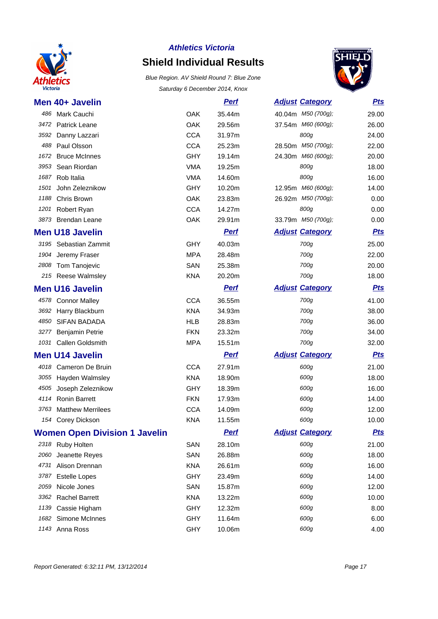

## **Athletics Victoria Shield Individual Results**



|      | Men 40+ Javelin                      |            | <b>Perf</b> | <b>Adjust Category</b> | <b>Pts</b> |
|------|--------------------------------------|------------|-------------|------------------------|------------|
| 486  | Mark Cauchi                          | OAK        | 35.44m      | 40.04m M50 (700g);     | 29.00      |
|      | 3472 Patrick Leane                   | OAK        | 29.56m      | 37.54m M60 (600g);     | 26.00      |
| 3592 | Danny Lazzari                        | <b>CCA</b> | 31.97m      | 800g                   | 24.00      |
| 488  | Paul Olsson                          | <b>CCA</b> | 25.23m      | 28.50m M50 (700g);     | 22.00      |
| 1672 | <b>Bruce McInnes</b>                 | <b>GHY</b> | 19.14m      | 24.30m M60 (600g);     | 20.00      |
| 3953 | Sean Riordan                         | <b>VMA</b> | 19.25m      | 800g                   | 18.00      |
| 1687 | Rob Italia                           | <b>VMA</b> | 14.60m      | 800g                   | 16.00      |
| 1501 | John Zeleznikow                      | <b>GHY</b> | 10.20m      | 12.95m M60 (600g);     | 14.00      |
| 1188 | Chris Brown                          | OAK        | 23.83m      | 26.92m M50 (700g);     | 0.00       |
| 1201 | Robert Ryan                          | <b>CCA</b> | 14.27m      | 800g                   | 0.00       |
|      | 3873 Brendan Leane                   | OAK        | 29.91m      | 33.79m M50 (700g);     | 0.00       |
|      | <b>Men U18 Javelin</b>               |            | <b>Pert</b> | <b>Adjust Category</b> | <u>Pts</u> |
|      | 3195 Sebastian Zammit                | <b>GHY</b> | 40.03m      | 700g                   | 25.00      |
| 1904 | Jeremy Fraser                        | <b>MPA</b> | 28.48m      | 700g                   | 22.00      |
|      | 2808 Tom Tanojevic                   | SAN        | 25.38m      | 700g                   | 20.00      |
|      | 215 Reese Walmsley                   | KNA        | 20.20m      | 700g                   | 18.00      |
|      | <b>Men U16 Javelin</b>               |            | <b>Perf</b> | <b>Adjust Category</b> | <b>Pts</b> |
|      | 4578 Connor Malley                   | <b>CCA</b> | 36.55m      | 700g                   | 41.00      |
| 3692 | Harry Blackburn                      | <b>KNA</b> | 34.93m      | 700g                   | 38.00      |
| 4850 | <b>SIFAN BADADA</b>                  | HLB        | 28.83m      | 700g                   | 36.00      |
| 3277 | <b>Benjamin Petrie</b>               | <b>FKN</b> | 23.32m      | 700g                   | 34.00      |
| 1031 | Callen Goldsmith                     | <b>MPA</b> | 15.51m      | 700g                   | 32.00      |
|      | <b>Men U14 Javelin</b>               |            | <b>Pert</b> | <b>Adjust Category</b> | <b>Pts</b> |
|      | 4018 Cameron De Bruin                | <b>CCA</b> | 27.91m      | 600g                   | 21.00      |
|      | 3055 Hayden Walmsley                 | <b>KNA</b> | 18.90m      | 600g                   | 18.00      |
| 4505 | Joseph Zeleznikow                    | GHY        | 18.39m      | 600g                   | 16.00      |
|      | 4114 Ronin Barrett                   | <b>FKN</b> | 17.93m      | 600g                   | 14.00      |
| 3763 | <b>Matthew Merrilees</b>             | <b>CCA</b> | 14.09m      | 600g                   | 12.00      |
|      | 154 Corey Dickson                    | <b>KNA</b> | 11.55m      | 600g                   | 10.00      |
|      | <b>Women Open Division 1 Javelin</b> |            | <u>Perf</u> | <b>Adjust Category</b> | <u>Pts</u> |
|      | 2318 Ruby Holten                     | SAN        | 28.10m      | 600g                   | 21.00      |
| 2060 | Jeanette Reyes                       | SAN        | 26.88m      | 600g                   | 18.00      |
| 4731 | Alison Drennan                       | <b>KNA</b> | 26.61m      | 600g                   | 16.00      |
| 3787 | <b>Estelle Lopes</b>                 | <b>GHY</b> | 23.49m      | 600g                   | 14.00      |
| 2059 | Nicole Jones                         | SAN        | 15.87m      | 600g                   | 12.00      |
| 3362 | <b>Rachel Barrett</b>                | <b>KNA</b> | 13.22m      | 600g                   | 10.00      |
| 1139 | Cassie Higham                        | <b>GHY</b> | 12.32m      | 600g                   | 8.00       |
|      | 1682 Simone McInnes                  | <b>GHY</b> | 11.64m      | 600g                   | 6.00       |
|      | 1143 Anna Ross                       | <b>GHY</b> | 10.06m      | 600g                   | 4.00       |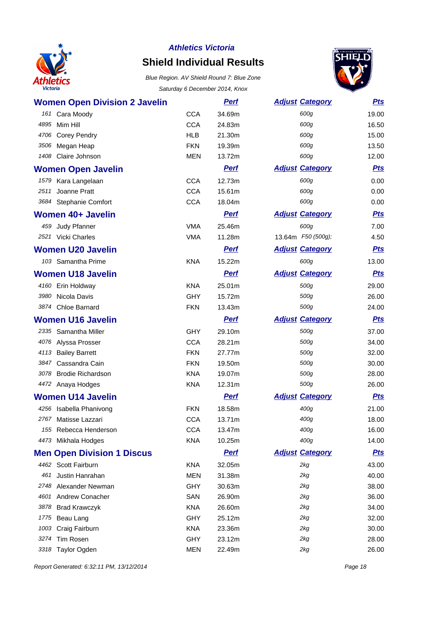

# **Shield Individual Results**

Blue Region. AV Shield Round 7: Blue Zone Saturday 6 December 2014, Knox



| <b>Women Open Division 2 Javelin</b> |                          | <b>Perf</b>      | <b>Adjust Category</b> | <u>Pts</u> |
|--------------------------------------|--------------------------|------------------|------------------------|------------|
|                                      |                          |                  | 600g                   | 19.00      |
| 161 Cara Moody<br>4895<br>Mim Hill   | <b>CCA</b><br><b>CCA</b> | 34.69m<br>24.83m | 600g                   | 16.50      |
| 4706<br><b>Corey Pendry</b>          | <b>HLB</b>               | 21.30m           | 600g                   | 15.00      |
| 3506<br>Megan Heap                   | <b>FKN</b>               | 19.39m           | 600g                   | 13.50      |
| Claire Johnson<br>1408               | <b>MEN</b>               | 13.72m           | 600g                   | 12.00      |
|                                      |                          |                  |                        |            |
| <b>Women Open Javelin</b>            |                          | <b>Pert</b>      | <b>Adjust Category</b> | <b>Pts</b> |
| 1579 Kara Langelaan                  | <b>CCA</b>               | 12.73m           | 600g                   | 0.00       |
| Joanne Pratt<br>2511                 | <b>CCA</b>               | 15.61m           | 600g                   | 0.00       |
| 3684 Stephanie Comfort               | <b>CCA</b>               | 18.04m           | 600g                   | 0.00       |
| <b>Women 40+ Javelin</b>             |                          | <b>Perf</b>      | <b>Adjust Category</b> | <b>Pts</b> |
| 459<br>Judy Pfanner                  | <b>VMA</b>               | 25.46m           | 600g                   | 7.00       |
| 2521 Vicki Charles                   | <b>VMA</b>               | 11.28m           | 13.64m F50 (500g);     | 4.50       |
| <b>Women U20 Javelin</b>             |                          | <b>Perf</b>      | <b>Adjust Category</b> | <b>Pts</b> |
| 103 Samantha Prime                   | <b>KNA</b>               | 15.22m           | 600g                   | 13.00      |
| <b>Women U18 Javelin</b>             |                          | <b>Pert</b>      | <b>Adjust Category</b> | <b>Pts</b> |
| 4160 Erin Holdway                    | <b>KNA</b>               | 25.01m           | 500g                   | 29.00      |
| Nicola Davis<br>3980                 | <b>GHY</b>               | 15.72m           | 500g                   | 26.00      |
| 3874 Chloe Barnard                   | <b>FKN</b>               | 13.43m           | 500g                   | 24.00      |
| <b>Women U16 Javelin</b>             |                          | <b>Perf</b>      | <b>Adjust Category</b> | <b>Pts</b> |
| 2335 Samantha Miller                 | <b>GHY</b>               | 29.10m           | 500g                   | 37.00      |
| 4076 Alyssa Prosser                  | <b>CCA</b>               | 28.21m           | 500g                   | 34.00      |
| 4113<br><b>Bailey Barrett</b>        | <b>FKN</b>               | 27.77m           | 500g                   | 32.00      |
| Cassandra Cain<br>3847               | <b>FKN</b>               | 19.50m           | 500g                   | 30.00      |
| 3078 Brodie Richardson               | <b>KNA</b>               | 19.07m           | 500g                   | 28.00      |
| 4472 Anaya Hodges                    | <b>KNA</b>               | 12.31m           | 500g                   | 26.00      |
| <b>Women U14 Javelin</b>             |                          | <b>Perf</b>      | <b>Adjust Category</b> | <u>Pts</u> |
| 4256 Isabella Phanivong              | <b>FKN</b>               | 18.58m           | 400g                   | 21.00      |
| 2767 Matisse Lazzari                 | <b>CCA</b>               | 13.71m           | 400g                   | 18.00      |
| 155 Rebecca Henderson                | <b>CCA</b>               | 13.47m           | 400g                   | 16.00      |
| 4473 Mikhala Hodges                  | <b>KNA</b>               | 10.25m           | 400g                   | 14.00      |
| <b>Men Open Division 1 Discus</b>    |                          | <b>Perf</b>      | <b>Adjust Category</b> | <u>Pts</u> |
| 4462 Scott Fairburn                  | <b>KNA</b>               | 32.05m           | 2kg                    | 43.00      |
| Justin Hanrahan<br>461               | <b>MEN</b>               | 31.38m           | 2kg                    | 40.00      |
| Alexander Newman<br>2748             | <b>GHY</b>               | 30.63m           | 2kg                    | 38.00      |
| 4601 Andrew Conacher                 | SAN                      | 26.90m           | 2kg                    | 36.00      |
| 3878<br><b>Brad Krawczyk</b>         | <b>KNA</b>               | 26.60m           | 2kg                    | 34.00      |
| 1775 Beau Lang                       | <b>GHY</b>               | 25.12m           | 2kg                    | 32.00      |
| 1003 Craig Fairburn                  | <b>KNA</b>               | 23.36m           | 2kg                    | 30.00      |
| 3274 Tim Rosen                       | <b>GHY</b>               | 23.12m           | 2kg                    | 28.00      |
| 3318 Taylor Ogden                    | <b>MEN</b>               | 22.49m           | 2kg                    | 26.00      |

Report Generated: 6:32:11 PM, 13/12/2014 Page 18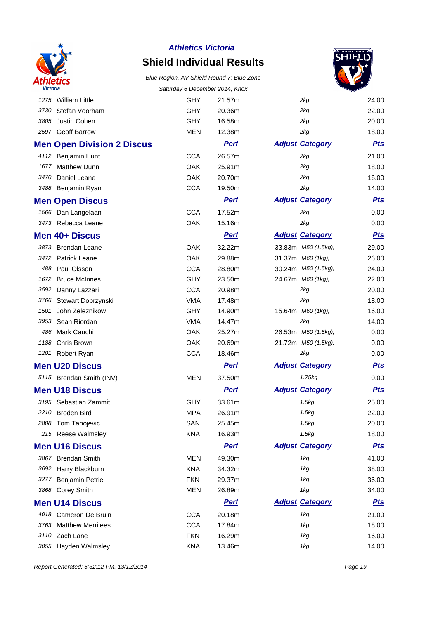

# **Shield Individual Results**



|                                   |            |             |                        | ▽          |
|-----------------------------------|------------|-------------|------------------------|------------|
| 1275 William Little               | GHY        | 21.57m      | 2kg                    | 24.00      |
| Stefan Voorham<br>3730            | <b>GHY</b> | 20.36m      | 2kg                    | 22.00      |
| 3805<br>Justin Cohen              | <b>GHY</b> | 16.58m      | 2kg                    | 20.00      |
| 2597 Geoff Barrow                 | <b>MEN</b> | 12.38m      | 2kg                    | 18.00      |
| <b>Men Open Division 2 Discus</b> |            | <b>Pert</b> | <b>Adjust Category</b> | <b>Pts</b> |
| 4112 Benjamin Hunt                | <b>CCA</b> | 26.57m      | 2kq                    | 21.00      |
| 1677<br><b>Matthew Dunn</b>       | OAK        | 25.91m      | 2kg                    | 18.00      |
| 3470<br>Daniel Leane              | <b>OAK</b> | 20.70m      | 2kg                    | 16.00      |
| 3488 Benjamin Ryan                | <b>CCA</b> | 19.50m      | 2kg                    | 14.00      |
| <b>Men Open Discus</b>            |            | <b>Perf</b> | <b>Adjust Category</b> | <b>Pts</b> |
| 1566 Dan Langelaan                | <b>CCA</b> | 17.52m      | 2kg                    | 0.00       |
| 3473 Rebecca Leane                | OAK        | 15.16m      | 2kg                    | 0.00       |
| Men 40+ Discus                    |            | <b>Perf</b> | <b>Adjust Category</b> | <u>Pts</u> |
| 3873 Brendan Leane                | OAK        | 32.22m      | 33.83m M50 (1.5kg);    | 29.00      |
| 3472<br><b>Patrick Leane</b>      | OAK        | 29.88m      | 31.37m M60 (1kg);      | 26.00      |
| Paul Olsson<br>488                | <b>CCA</b> | 28.80m      | 30.24m M50 (1.5kg);    | 24.00      |
| 1672<br><b>Bruce McInnes</b>      | <b>GHY</b> | 23.50m      | 24.67m M60 (1kg);      | 22.00      |
| 3592<br>Danny Lazzari             | <b>CCA</b> | 20.98m      | 2kg                    | 20.00      |
| 3766<br>Stewart Dobrzynski        | <b>VMA</b> | 17.48m      | 2kg                    | 18.00      |
| 1501<br>John Zeleznikow           | <b>GHY</b> | 14.90m      | 15.64m M60 (1kg);      | 16.00      |
| Sean Riordan<br>3953              | <b>VMA</b> | 14.47m      | 2kg                    | 14.00      |
| Mark Cauchi<br>486                | <b>OAK</b> | 25.27m      | 26.53m M50 (1.5kg);    | 0.00       |
| 1188<br>Chris Brown               | OAK        | 20.69m      | 21.72m M50 (1.5kg);    | 0.00       |
| 1201 Robert Ryan                  | <b>CCA</b> | 18.46m      | 2kg                    | 0.00       |
| <b>Men U20 Discus</b>             |            | <b>Pert</b> | <b>Adjust Category</b> | <u>Pts</u> |
| 5115 Brendan Smith (INV)          | <b>MEN</b> | 37.50m      | 1.75kg                 | 0.00       |
| <b>Men U18 Discus</b>             |            | <b>Perf</b> | <b>Adjust Category</b> | <b>Pts</b> |
| 3195 Sebastian Zammit             | <b>GHY</b> | 33.61m      | 1.5kg                  | 25.00      |
| 2210 Broden Bird                  | <b>MPA</b> | 26.91m      | 1.5kg                  | 22.00      |
| 2808 Tom Tanojevic                | SAN        | 25.45m      | 1.5kg                  | 20.00      |
| 215 Reese Walmsley                | <b>KNA</b> | 16.93m      | 1.5kg                  | 18.00      |
| <b>Men U16 Discus</b>             |            | <b>Pert</b> | <b>Adjust Category</b> | <b>Pts</b> |
| <b>Brendan Smith</b><br>3867      | <b>MEN</b> | 49.30m      | 1kg                    | 41.00      |
| 3692 Harry Blackburn              | <b>KNA</b> | 34.32m      | 1kg                    | 38.00      |
| Benjamin Petrie<br>3277           | <b>FKN</b> | 29.37m      | 1kg                    | 36.00      |
| <b>Corey Smith</b><br>3868        | <b>MEN</b> | 26.89m      | 1kg                    | 34.00      |
| <b>Men U14 Discus</b>             |            | <b>Perf</b> | <b>Adjust Category</b> | <u>Pts</u> |
| 4018 Cameron De Bruin             | <b>CCA</b> | 20.18m      | 1kg                    | 21.00      |
| 3763<br><b>Matthew Merrilees</b>  | <b>CCA</b> | 17.84m      | 1kg                    | 18.00      |
| 3110<br>Zach Lane                 | <b>FKN</b> | 16.29m      | 1kg                    | 16.00      |
| 3055 Hayden Walmsley              | <b>KNA</b> | 13.46m      | 1kg                    | 14.00      |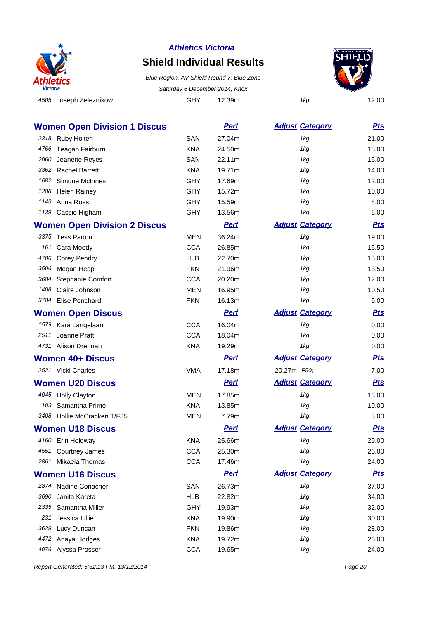

## **Shield Individual Results**

4505 Joseph Zeleznikow **GHY** 12.39m 1kg 12.00 Blue Region. AV Shield Round 7: Blue Zone Saturday 6 December 2014, Knox



|      | <b>Women Open Division 1 Discus</b> |            | <b>Perf</b> | <b>Adjust Category</b> | <u>Pts</u> |
|------|-------------------------------------|------------|-------------|------------------------|------------|
|      | 2318 Ruby Holten                    | SAN        | 27.04m      | 1kg                    | 21.00      |
| 4766 | Teagan Fairburn                     | <b>KNA</b> | 24.50m      | 1kg                    | 18.00      |
| 2060 | Jeanette Reyes                      | SAN        | 22.11m      | 1kg                    | 16.00      |
| 3362 | <b>Rachel Barrett</b>               | <b>KNA</b> | 19.71m      | 1kg                    | 14.00      |
| 1682 | Simone McInnes                      | <b>GHY</b> | 17.69m      | 1kg                    | 12.00      |
| 1288 | <b>Helen Rainey</b>                 | GHY        | 15.72m      | 1kg                    | 10.00      |
|      | 1143 Anna Ross                      | <b>GHY</b> | 15.59m      | 1kg                    | 8.00       |
|      | 1139 Cassie Higham                  | GHY        | 13.56m      | 1kg                    | 6.00       |
|      | <b>Women Open Division 2 Discus</b> |            | <b>Perf</b> | <b>Adjust Category</b> | <b>Pts</b> |
|      | 3375 Tess Parton                    | <b>MEN</b> | 36.24m      | 1kg                    | 19.00      |
|      | 161 Cara Moody                      | <b>CCA</b> | 26.85m      | 1kg                    | 16.50      |
|      | 4706 Corey Pendry                   | <b>HLB</b> | 22.70m      | 1kg                    | 15.00      |
| 3506 | Megan Heap                          | <b>FKN</b> | 21.96m      | 1kg                    | 13.50      |
| 3684 | Stephanie Comfort                   | <b>CCA</b> | 20.20m      | 1kg                    | 12.00      |
| 1408 | Claire Johnson                      | <b>MEN</b> | 16.95m      | 1kg                    | 10.50      |
| 3784 | Elise Ponchard                      | <b>FKN</b> | 16.13m      | 1kg                    | 9.00       |
|      | <b>Women Open Discus</b>            |            | <b>Perf</b> | <b>Adjust Category</b> | <b>Pts</b> |
|      | 1579 Kara Langelaan                 | <b>CCA</b> | 16.04m      | 1kg                    | 0.00       |
| 2511 | Joanne Pratt                        | <b>CCA</b> | 18.04m      | 1kg                    | 0.00       |
|      | 4731 Alison Drennan                 | <b>KNA</b> | 19.29m      | 1kg                    | 0.00       |
|      | <b>Women 40+ Discus</b>             |            | <b>Perf</b> | <b>Adjust Category</b> | <u>Pts</u> |
|      | 2521 Vicki Charles                  | <b>VMA</b> | 17.18m      | 20.27m F50;            | 7.00       |
|      | <b>Women U20 Discus</b>             |            | <b>Perf</b> | <b>Adjust Category</b> | <b>Pts</b> |
|      | 4045 Holly Clayton                  | <b>MEN</b> | 17.85m      | 1kg                    | 13.00      |
|      | 103 Samantha Prime                  | <b>KNA</b> | 13.85m      | 1kg                    | 10.00      |
|      | 3408 Hollie McCracken T/F35         | <b>MEN</b> | 7.79m       | 1kg                    | 8.00       |
|      | <b>Women U18 Discus</b>             |            | <b>Perf</b> | <b>Adjust Category</b> | <u>Pts</u> |
|      | 4160 Erin Holdway                   | <b>KNA</b> | 25.66m      | 1kg                    | 29.00      |
|      | 4551 Courtney James                 | <b>CCA</b> | 25.30m      | 1kg                    | 26.00      |
|      | 2861 Mikaela Thomas                 | <b>CCA</b> | 17.46m      | 1kg                    | 24.00      |
|      | <b>Women U16 Discus</b>             |            | <b>Perf</b> | <b>Adjust Category</b> | <u>Pts</u> |
|      | 2874 Nadine Conacher                | SAN        | 26.73m      | 1kg                    | 37.00      |
| 3690 | Janita Kareta                       | <b>HLB</b> | 22.82m      | 1kg                    | 34.00      |
|      | 2335 Samantha Miller                | <b>GHY</b> | 19.93m      | 1kg                    | 32.00      |
| 231  | Jessica Lillie                      | <b>KNA</b> | 19.90m      | 1kg                    | 30.00      |
| 3629 | Lucy Duncan                         | <b>FKN</b> | 19.86m      | 1kg                    | 28.00      |
|      | 4472 Anaya Hodges                   | <b>KNA</b> | 19.72m      | 1kg                    | 26.00      |
|      | 4076 Alyssa Prosser                 | <b>CCA</b> | 19.65m      | 1kg                    | 24.00      |

Report Generated: 6:32:13 PM, 13/12/2014 Page 20